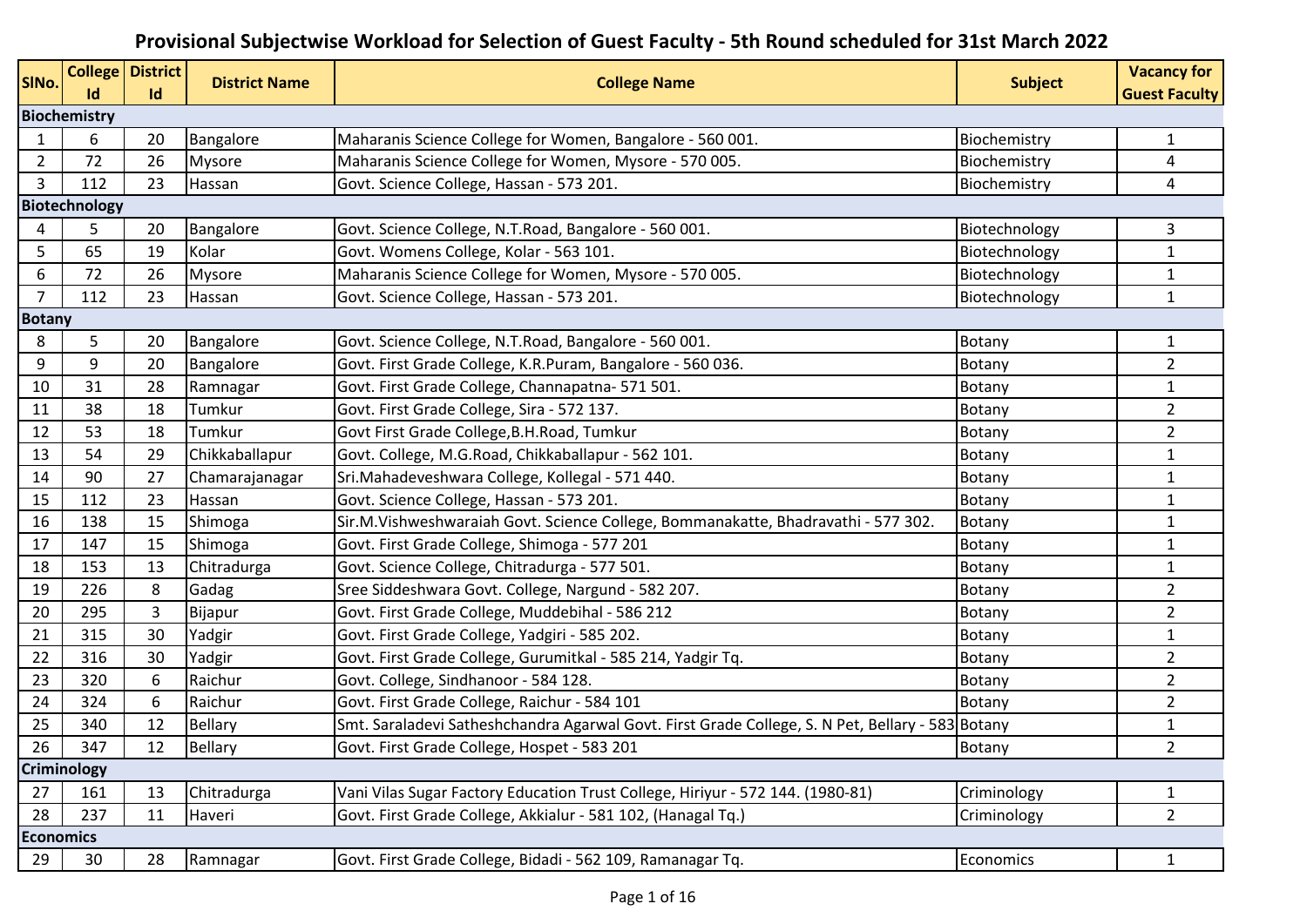## **Provisional Subjectwise Workload for Selection of Guest Faculty - 5th Round scheduled for 31st March 2022**

| SINo.            | Id                  | <b>College District</b><br>Id | <b>District Name</b> | <b>College Name</b>                                                                              | <b>Subject</b> | <b>Vacancy for</b><br><b>Guest Faculty</b> |
|------------------|---------------------|-------------------------------|----------------------|--------------------------------------------------------------------------------------------------|----------------|--------------------------------------------|
|                  | <b>Biochemistry</b> |                               |                      |                                                                                                  |                |                                            |
| 1                | 6                   | 20                            | Bangalore            | Maharanis Science College for Women, Bangalore - 560 001.                                        | Biochemistry   | $\mathbf{1}$                               |
| $\overline{2}$   | 72                  | 26                            | <b>Mysore</b>        | Maharanis Science College for Women, Mysore - 570 005.                                           | Biochemistry   | 4                                          |
| 3                | 112                 | 23                            | Hassan               | Govt. Science College, Hassan - 573 201.                                                         | Biochemistry   | 4                                          |
|                  | Biotechnology       |                               |                      |                                                                                                  |                |                                            |
| 4                | 5                   | 20                            | Bangalore            | Govt. Science College, N.T.Road, Bangalore - 560 001.                                            | Biotechnology  | 3                                          |
| 5                | 65                  | 19                            | Kolar                | Govt. Womens College, Kolar - 563 101.                                                           | Biotechnology  | $\mathbf{1}$                               |
| 6                | 72                  | 26                            | <b>Mysore</b>        | Maharanis Science College for Women, Mysore - 570 005.                                           | Biotechnology  | 1                                          |
| $\overline{7}$   | 112                 | 23                            | Hassan               | Govt. Science College, Hassan - 573 201.                                                         | Biotechnology  | $\mathbf{1}$                               |
| <b>Botany</b>    |                     |                               |                      |                                                                                                  |                |                                            |
| 8                | 5                   | 20                            | Bangalore            | Govt. Science College, N.T.Road, Bangalore - 560 001.                                            | Botany         | $\mathbf{1}$                               |
| 9                | 9                   | 20                            | Bangalore            | Govt. First Grade College, K.R.Puram, Bangalore - 560 036.                                       | Botany         | $\overline{2}$                             |
| 10               | 31                  | 28                            | Ramnagar             | Govt. First Grade College, Channapatna- 571 501.                                                 | Botany         | $\mathbf{1}$                               |
| 11               | 38                  | 18                            | Tumkur               | Govt. First Grade College, Sira - 572 137.                                                       | Botany         | $\overline{2}$                             |
| 12               | 53                  | 18                            | Tumkur               | Govt First Grade College, B.H. Road, Tumkur                                                      | <b>Botany</b>  | $\overline{2}$                             |
| 13               | 54                  | 29                            | Chikkaballapur       | Govt. College, M.G.Road, Chikkaballapur - 562 101.                                               | Botany         | $\mathbf{1}$                               |
| 14               | 90                  | 27                            | Chamarajanagar       | Sri.Mahadeveshwara College, Kollegal - 571 440.                                                  | Botany         | $\mathbf 1$                                |
| 15               | 112                 | 23                            | Hassan               | Govt. Science College, Hassan - 573 201.                                                         | Botany         | $\mathbf{1}$                               |
| 16               | 138                 | 15                            | Shimoga              | Sir.M.Vishweshwaraiah Govt. Science College, Bommanakatte, Bhadravathi - 577 302.                | Botany         | $\mathbf 1$                                |
| 17               | 147                 | 15                            | Shimoga              | Govt. First Grade College, Shimoga - 577 201                                                     | Botany         | $\mathbf 1$                                |
| 18               | 153                 | 13                            | Chitradurga          | Govt. Science College, Chitradurga - 577 501.                                                    | Botany         | 1                                          |
| 19               | 226                 | 8                             | Gadag                | Sree Siddeshwara Govt. College, Nargund - 582 207.                                               | Botany         | $\overline{2}$                             |
| 20               | 295                 | 3                             | Bijapur              | Govt. First Grade College, Muddebihal - 586 212                                                  | Botany         | $\overline{2}$                             |
| 21               | 315                 | 30                            | Yadgir               | Govt. First Grade College, Yadgiri - 585 202.                                                    | Botany         | $\mathbf 1$                                |
| 22               | 316                 | 30                            | Yadgir               | Govt. First Grade College, Gurumitkal - 585 214, Yadgir Tq.                                      | Botany         | $\overline{2}$                             |
| 23               | 320                 | 6                             | Raichur              | Govt. College, Sindhanoor - 584 128.                                                             | Botany         | $\overline{2}$                             |
| 24               | 324                 | 6                             | Raichur              | Govt. First Grade College, Raichur - 584 101                                                     | Botany         | 2                                          |
| 25               | 340                 | 12                            | <b>Bellary</b>       | Smt. Saraladevi Satheshchandra Agarwal Govt. First Grade College, S. N Pet, Bellary - 583 Botany |                | $\mathbf 1$                                |
| 26               | 347                 | 12                            | <b>Bellary</b>       | Govt. First Grade College, Hospet - 583 201                                                      | Botany         | $\overline{c}$                             |
|                  | Criminology         |                               |                      |                                                                                                  |                |                                            |
| 27               | 161                 | 13                            | Chitradurga          | Vani Vilas Sugar Factory Education Trust College, Hiriyur - 572 144. (1980-81)                   | Criminology    | $\mathbf{1}$                               |
| 28               | 237                 | 11                            | Haveri               | Govt. First Grade College, Akkialur - 581 102, (Hanagal Tq.)                                     | Criminology    | $\overline{2}$                             |
| <b>Economics</b> |                     |                               |                      |                                                                                                  |                |                                            |
| 29               | 30                  | 28                            | Ramnagar             | Govt. First Grade College, Bidadi - 562 109, Ramanagar Tq.                                       | Economics      | $\mathbf{1}$                               |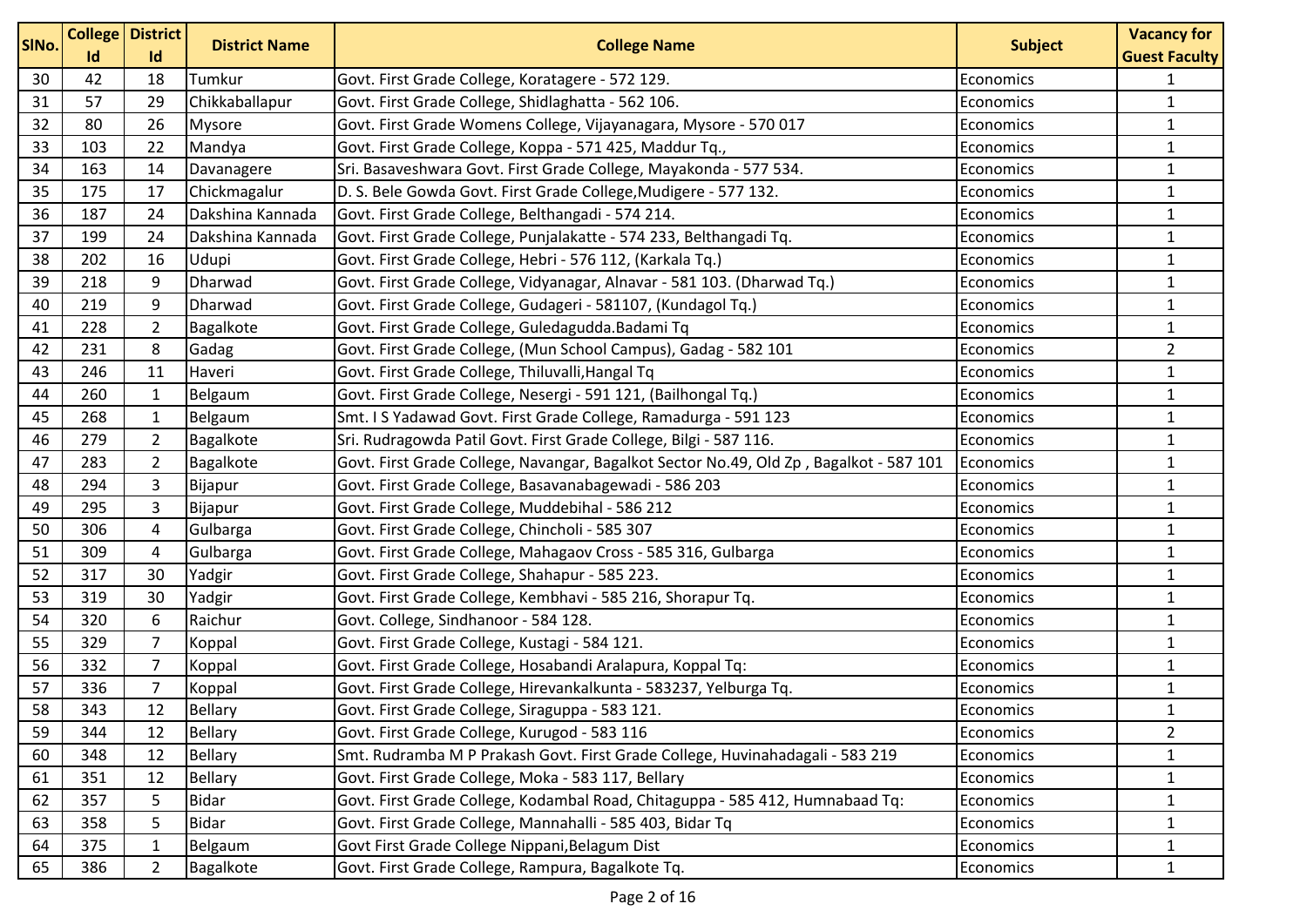| SINo. | Id  | <b>College District</b><br>Id | <b>District Name</b> | <b>College Name</b>                                                                    | <b>Subject</b>   | <b>Vacancy for</b><br><b>Guest Faculty</b> |
|-------|-----|-------------------------------|----------------------|----------------------------------------------------------------------------------------|------------------|--------------------------------------------|
| 30    | 42  | 18                            | Tumkur               | Govt. First Grade College, Koratagere - 572 129.                                       | Economics        | 1                                          |
| 31    | 57  | 29                            | Chikkaballapur       | Govt. First Grade College, Shidlaghatta - 562 106.                                     | Economics        | $\mathbf{1}$                               |
| 32    | 80  | 26                            | <b>Mysore</b>        | Govt. First Grade Womens College, Vijayanagara, Mysore - 570 017                       | <b>Economics</b> | $\mathbf{1}$                               |
| 33    | 103 | 22                            | Mandya               | Govt. First Grade College, Koppa - 571 425, Maddur Tq.,                                | Economics        | $\mathbf{1}$                               |
| 34    | 163 | 14                            | Davanagere           | Sri. Basaveshwara Govt. First Grade College, Mayakonda - 577 534.                      | Economics        | $\mathbf{1}$                               |
| 35    | 175 | 17                            | Chickmagalur         | D. S. Bele Gowda Govt. First Grade College, Mudigere - 577 132.                        | Economics        | $\mathbf{1}$                               |
| 36    | 187 | 24                            | Dakshina Kannada     | Govt. First Grade College, Belthangadi - 574 214.                                      | Economics        | $\mathbf{1}$                               |
| 37    | 199 | 24                            | Dakshina Kannada     | Govt. First Grade College, Punjalakatte - 574 233, Belthangadi Tq.                     | Economics        | 1                                          |
| 38    | 202 | 16                            | Udupi                | Govt. First Grade College, Hebri - 576 112, (Karkala Tq.)                              | Economics        | $\mathbf{1}$                               |
| 39    | 218 | 9                             | Dharwad              | Govt. First Grade College, Vidyanagar, Alnavar - 581 103. (Dharwad Tq.)                | <b>Economics</b> | $\mathbf{1}$                               |
| 40    | 219 | 9                             | Dharwad              | Govt. First Grade College, Gudageri - 581107, (Kundagol Tq.)                           | Economics        | $\mathbf{1}$                               |
| 41    | 228 | $\overline{2}$                | Bagalkote            | Govt. First Grade College, Guledagudda. Badami Tq                                      | Economics        | $\mathbf{1}$                               |
| 42    | 231 | 8                             | Gadag                | Govt. First Grade College, (Mun School Campus), Gadag - 582 101                        | Economics        | $\overline{2}$                             |
| 43    | 246 | 11                            | Haveri               | Govt. First Grade College, Thiluvalli, Hangal Tq                                       | Economics        | 1                                          |
| 44    | 260 | $\mathbf{1}$                  | Belgaum              | Govt. First Grade College, Nesergi - 591 121, (Bailhongal Tq.)                         | <b>Economics</b> | $\mathbf{1}$                               |
| 45    | 268 | $\mathbf{1}$                  | Belgaum              | Smt. I S Yadawad Govt. First Grade College, Ramadurga - 591 123                        | Economics        | $\mathbf{1}$                               |
| 46    | 279 | $\overline{2}$                | Bagalkote            | Sri. Rudragowda Patil Govt. First Grade College, Bilgi - 587 116.                      | Economics        | $\mathbf{1}$                               |
| 47    | 283 | $\overline{2}$                | Bagalkote            | Govt. First Grade College, Navangar, Bagalkot Sector No.49, Old Zp, Bagalkot - 587 101 | Economics        | $\mathbf{1}$                               |
| 48    | 294 | 3                             | Bijapur              | Govt. First Grade College, Basavanabagewadi - 586 203                                  | Economics        | $\mathbf{1}$                               |
| 49    | 295 | 3                             | Bijapur              | Govt. First Grade College, Muddebihal - 586 212                                        | Economics        | $\mathbf{1}$                               |
| 50    | 306 | 4                             | Gulbarga             | Govt. First Grade College, Chincholi - 585 307                                         | Economics        | 1                                          |
| 51    | 309 | 4                             | Gulbarga             | Govt. First Grade College, Mahagaov Cross - 585 316, Gulbarga                          | Economics        | $\mathbf{1}$                               |
| 52    | 317 | 30                            | Yadgir               | Govt. First Grade College, Shahapur - 585 223.                                         | Economics        | $\mathbf{1}$                               |
| 53    | 319 | 30                            | Yadgir               | Govt. First Grade College, Kembhavi - 585 216, Shorapur Tq.                            | Economics        | $\mathbf{1}$                               |
| 54    | 320 | 6                             | Raichur              | Govt. College, Sindhanoor - 584 128.                                                   | Economics        | $\mathbf{1}$                               |
| 55    | 329 | $\overline{7}$                | Koppal               | Govt. First Grade College, Kustagi - 584 121.                                          | Economics        | $\mathbf{1}$                               |
| 56    | 332 | $\overline{7}$                | Koppal               | Govt. First Grade College, Hosabandi Aralapura, Koppal Tq:                             | Economics        | 1                                          |
| 57    | 336 | $\overline{7}$                | Koppal               | Govt. First Grade College, Hirevankalkunta - 583237, Yelburga Tq.                      | Economics        | $\mathbf{1}$                               |
| 58    | 343 | 12                            | <b>Bellary</b>       | Govt. First Grade College, Siraguppa - 583 121.                                        | Economics        | $\mathbf{1}$                               |
| 59    | 344 | 12                            | <b>Bellary</b>       | Govt. First Grade College, Kurugod - 583 116                                           | Economics        | $\overline{2}$                             |
| 60    | 348 | 12                            | <b>Bellary</b>       | Smt. Rudramba M P Prakash Govt. First Grade College, Huvinahadagali - 583 219          | Economics        | $\mathbf{1}$                               |
| 61    | 351 | 12                            | <b>Bellary</b>       | Govt. First Grade College, Moka - 583 117, Bellary                                     | Economics        | 1                                          |
| 62    | 357 | 5                             | <b>Bidar</b>         | Govt. First Grade College, Kodambal Road, Chitaguppa - 585 412, Humnabaad Tq:          | Economics        | 1                                          |
| 63    | 358 | 5                             | <b>Bidar</b>         | Govt. First Grade College, Mannahalli - 585 403, Bidar Tq                              | Economics        | 1                                          |
| 64    | 375 | $\mathbf 1$                   | Belgaum              | Govt First Grade College Nippani, Belagum Dist                                         | Economics        | 1                                          |
| 65    | 386 | 2                             | Bagalkote            | Govt. First Grade College, Rampura, Bagalkote Tq.                                      | Economics        | $\mathbf{1}$                               |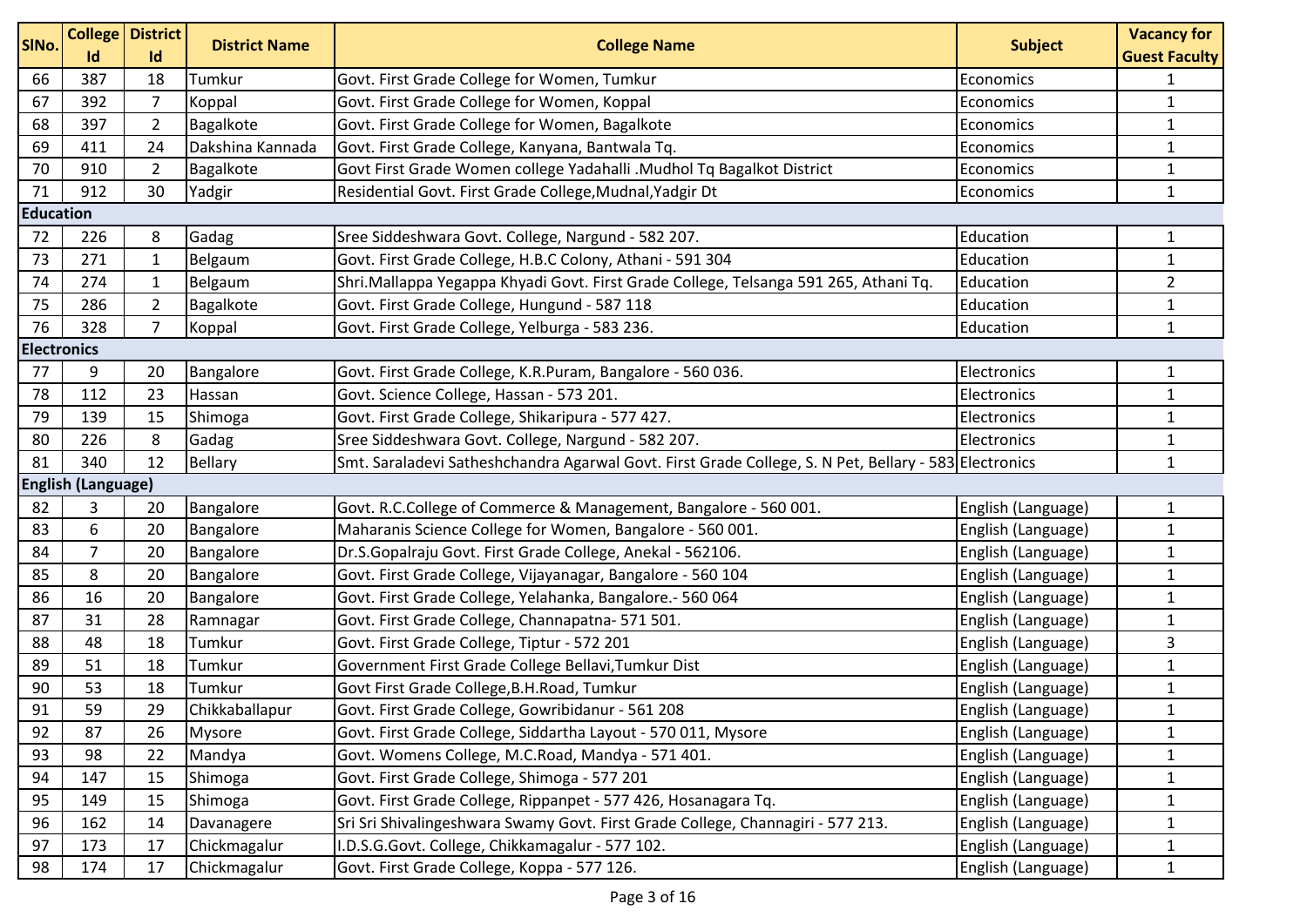| SINo.              | Id                        | <b>College District</b><br>Id | <b>District Name</b> | <b>College Name</b>                                                                                   | <b>Subject</b>     | <b>Vacancy for</b><br><b>Guest Faculty</b> |
|--------------------|---------------------------|-------------------------------|----------------------|-------------------------------------------------------------------------------------------------------|--------------------|--------------------------------------------|
| 66                 | 387                       | 18                            | Tumkur               | Govt. First Grade College for Women, Tumkur                                                           | Economics          | $\mathbf{1}$                               |
| 67                 | 392                       | 7                             | Koppal               | Govt. First Grade College for Women, Koppal                                                           | Economics          | $\mathbf{1}$                               |
| 68                 | 397                       | $\overline{2}$                | Bagalkote            | Govt. First Grade College for Women, Bagalkote                                                        | Economics          | $\mathbf{1}$                               |
| 69                 | 411                       | 24                            | Dakshina Kannada     | Govt. First Grade College, Kanyana, Bantwala Tq.                                                      | Economics          | $\mathbf{1}$                               |
| 70                 | 910                       | $\overline{2}$                | Bagalkote            | Govt First Grade Women college Yadahalli .Mudhol Tq Bagalkot District                                 | Economics          | $\mathbf{1}$                               |
| 71                 | 912                       | 30                            | Yadgir               | Residential Govt. First Grade College, Mudnal, Yadgir Dt                                              | Economics          | $\mathbf{1}$                               |
| <b>Education</b>   |                           |                               |                      |                                                                                                       |                    |                                            |
| 72                 | 226                       | 8                             | Gadag                | Sree Siddeshwara Govt. College, Nargund - 582 207.                                                    | Education          | $\mathbf{1}$                               |
| 73                 | 271                       | 1                             | Belgaum              | Govt. First Grade College, H.B.C Colony, Athani - 591 304                                             | Education          | $\mathbf{1}$                               |
| 74                 | 274                       | 1                             | Belgaum              | Shri.Mallappa Yegappa Khyadi Govt. First Grade College, Telsanga 591 265, Athani Tq.                  | Education          | $\overline{2}$                             |
| 75                 | 286                       | $\overline{2}$                | Bagalkote            | Govt. First Grade College, Hungund - 587 118                                                          | Education          | $\mathbf{1}$                               |
| 76                 | 328                       | $\overline{7}$                | Koppal               | Govt. First Grade College, Yelburga - 583 236.                                                        | Education          | $\mathbf{1}$                               |
| <b>Electronics</b> |                           |                               |                      |                                                                                                       |                    |                                            |
| 77                 | 9                         | 20                            | Bangalore            | Govt. First Grade College, K.R.Puram, Bangalore - 560 036.                                            | Electronics        | $\mathbf{1}$                               |
| 78                 | 112                       | 23                            | Hassan               | Govt. Science College, Hassan - 573 201.                                                              | Electronics        | $\mathbf{1}$                               |
| 79                 | 139                       | 15                            | Shimoga              | Govt. First Grade College, Shikaripura - 577 427.                                                     | Electronics        | $\mathbf{1}$                               |
| 80                 | 226                       | 8                             | Gadag                | Sree Siddeshwara Govt. College, Nargund - 582 207.                                                    | Electronics        | $\mathbf{1}$                               |
| 81                 | 340                       | 12                            | <b>Bellary</b>       | Smt. Saraladevi Satheshchandra Agarwal Govt. First Grade College, S. N Pet, Bellary - 583 Electronics |                    | $\mathbf{1}$                               |
|                    | <b>English (Language)</b> |                               |                      |                                                                                                       |                    |                                            |
| 82                 | 3                         | 20                            | Bangalore            | Govt. R.C.College of Commerce & Management, Bangalore - 560 001.                                      | English (Language) | $\mathbf{1}$                               |
| 83                 | 6                         | 20                            | Bangalore            | Maharanis Science College for Women, Bangalore - 560 001.                                             | English (Language) | $\mathbf{1}$                               |
| 84                 | 7                         | 20                            | Bangalore            | Dr.S.Gopalraju Govt. First Grade College, Anekal - 562106.                                            | English (Language) | $\mathbf{1}$                               |
| 85                 | 8                         | 20                            | Bangalore            | Govt. First Grade College, Vijayanagar, Bangalore - 560 104                                           | English (Language) | $\mathbf{1}$                               |
| 86                 | 16                        | 20                            | Bangalore            | Govt. First Grade College, Yelahanka, Bangalore.- 560 064                                             | English (Language) | $\mathbf{1}$                               |
| 87                 | 31                        | 28                            | Ramnagar             | Govt. First Grade College, Channapatna- 571 501.                                                      | English (Language) | $\mathbf{1}$                               |
| 88                 | 48                        | 18                            | Tumkur               | Govt. First Grade College, Tiptur - 572 201                                                           | English (Language) | 3                                          |
| 89                 | 51                        | 18                            | Tumkur               | Government First Grade College Bellavi, Tumkur Dist                                                   | English (Language) | $\mathbf{1}$                               |
| 90                 | 53                        | 18                            | Tumkur               | Govt First Grade College, B.H. Road, Tumkur                                                           | English (Language) | $\mathbf 1$                                |
| 91                 | 59                        | 29                            | Chikkaballapur       | Govt. First Grade College, Gowribidanur - 561 208                                                     | English (Language) | $\mathbf{1}$                               |
| 92                 | 87                        | 26                            | <b>Mysore</b>        | Govt. First Grade College, Siddartha Layout - 570 011, Mysore                                         | English (Language) | $\mathbf{1}$                               |
| 93                 | 98                        | 22                            | Mandya               | Govt. Womens College, M.C.Road, Mandya - 571 401.                                                     | English (Language) | $\mathbf{1}$                               |
| 94                 | 147                       | 15                            | Shimoga              | Govt. First Grade College, Shimoga - 577 201                                                          | English (Language) | $\mathbf{1}$                               |
| 95                 | 149                       | 15                            | Shimoga              | Govt. First Grade College, Rippanpet - 577 426, Hosanagara Tq.                                        | English (Language) | $\mathbf{1}$                               |
| 96                 | 162                       | 14                            | Davanagere           | Sri Sri Shivalingeshwara Swamy Govt. First Grade College, Channagiri - 577 213.                       | English (Language) | 1                                          |
| 97                 | 173                       | 17                            | Chickmagalur         | I.D.S.G.Govt. College, Chikkamagalur - 577 102.                                                       | English (Language) | $\mathbf{1}$                               |
| 98                 | 174                       | 17                            | Chickmagalur         | Govt. First Grade College, Koppa - 577 126.                                                           | English (Language) | $\mathbf{1}$                               |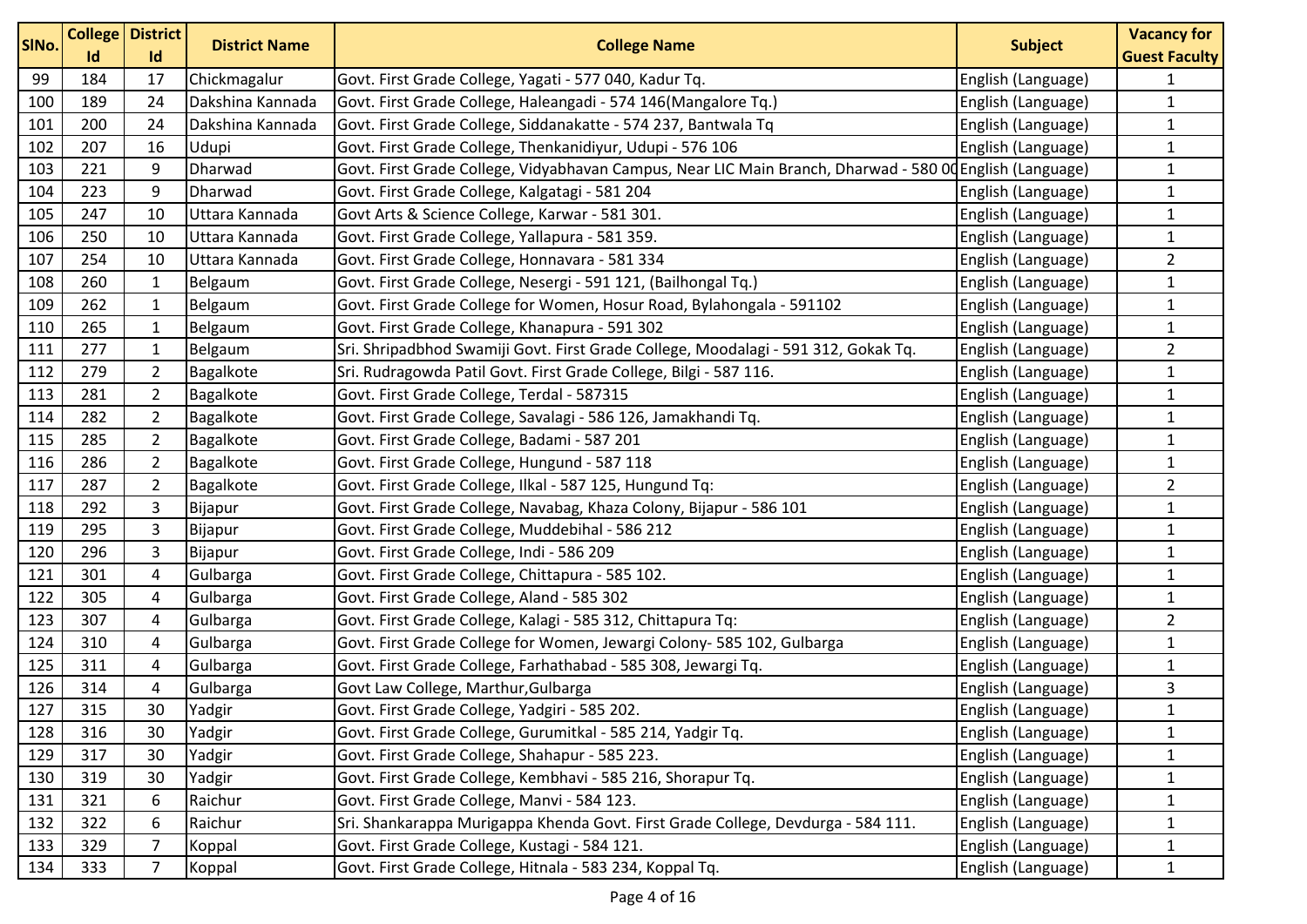| SINo. | Id  | <b>College District</b><br>Id | <b>District Name</b> | <b>College Name</b>                                                                                      | <b>Subject</b>     | <b>Vacancy for</b><br><b>Guest Faculty</b> |
|-------|-----|-------------------------------|----------------------|----------------------------------------------------------------------------------------------------------|--------------------|--------------------------------------------|
| 99    | 184 | 17                            | Chickmagalur         | Govt. First Grade College, Yagati - 577 040, Kadur Tq.                                                   | English (Language) | $\mathbf{1}$                               |
| 100   | 189 | 24                            | Dakshina Kannada     | Govt. First Grade College, Haleangadi - 574 146 (Mangalore Tq.)                                          | English (Language) | $\mathbf{1}$                               |
| 101   | 200 | 24                            | Dakshina Kannada     | Govt. First Grade College, Siddanakatte - 574 237, Bantwala Tq                                           | English (Language) | $\mathbf{1}$                               |
| 102   | 207 | 16                            | Udupi                | Govt. First Grade College, Thenkanidiyur, Udupi - 576 106                                                | English (Language) | $\mathbf{1}$                               |
| 103   | 221 | 9                             | Dharwad              | Govt. First Grade College, Vidyabhavan Campus, Near LIC Main Branch, Dharwad - 580 00 English (Language) |                    | $\mathbf{1}$                               |
| 104   | 223 | 9                             | <b>Dharwad</b>       | Govt. First Grade College, Kalgatagi - 581 204                                                           | English (Language) | $\mathbf 1$                                |
| 105   | 247 | 10                            | Uttara Kannada       | Govt Arts & Science College, Karwar - 581 301.                                                           | English (Language) | $\mathbf{1}$                               |
| 106   | 250 | 10                            | Uttara Kannada       | Govt. First Grade College, Yallapura - 581 359.                                                          | English (Language) | $\mathbf{1}$                               |
| 107   | 254 | 10                            | Uttara Kannada       | Govt. First Grade College, Honnavara - 581 334                                                           | English (Language) | $\overline{2}$                             |
| 108   | 260 | $\mathbf{1}$                  | Belgaum              | Govt. First Grade College, Nesergi - 591 121, (Bailhongal Tq.)                                           | English (Language) | $\mathbf{1}$                               |
| 109   | 262 | $\mathbf{1}$                  | Belgaum              | Govt. First Grade College for Women, Hosur Road, Bylahongala - 591102                                    | English (Language) | $\mathbf{1}$                               |
| 110   | 265 | $\mathbf{1}$                  | Belgaum              | Govt. First Grade College, Khanapura - 591 302                                                           | English (Language) | $\mathbf{1}$                               |
| 111   | 277 | $\mathbf{1}$                  | Belgaum              | Sri. Shripadbhod Swamiji Govt. First Grade College, Moodalagi - 591 312, Gokak Tq.                       | English (Language) | $\overline{2}$                             |
| 112   | 279 | $\overline{2}$                | Bagalkote            | Sri. Rudragowda Patil Govt. First Grade College, Bilgi - 587 116.                                        | English (Language) | $\mathbf{1}$                               |
| 113   | 281 | $\overline{2}$                | Bagalkote            | Govt. First Grade College, Terdal - 587315                                                               | English (Language) | $\mathbf{1}$                               |
| 114   | 282 | $\overline{2}$                | Bagalkote            | Govt. First Grade College, Savalagi - 586 126, Jamakhandi Tq.                                            | English (Language) | $\mathbf{1}$                               |
| 115   | 285 | $\overline{2}$                | Bagalkote            | Govt. First Grade College, Badami - 587 201                                                              | English (Language) | $\mathbf{1}$                               |
| 116   | 286 | $\overline{2}$                | Bagalkote            | Govt. First Grade College, Hungund - 587 118                                                             | English (Language) | $\mathbf{1}$                               |
| 117   | 287 | $\overline{2}$                | Bagalkote            | Govt. First Grade College, Ilkal - 587 125, Hungund Tq:                                                  | English (Language) | $\overline{2}$                             |
| 118   | 292 | $\mathsf 3$                   | Bijapur              | Govt. First Grade College, Navabag, Khaza Colony, Bijapur - 586 101                                      | English (Language) | $\mathbf{1}$                               |
| 119   | 295 | $\overline{3}$                | Bijapur              | Govt. First Grade College, Muddebihal - 586 212                                                          | English (Language) | $\mathbf{1}$                               |
| 120   | 296 | $\mathsf 3$                   | Bijapur              | Govt. First Grade College, Indi - 586 209                                                                | English (Language) | $\mathbf{1}$                               |
| 121   | 301 | $\overline{4}$                | Gulbarga             | Govt. First Grade College, Chittapura - 585 102.                                                         | English (Language) | $\mathbf{1}$                               |
| 122   | 305 | $\overline{4}$                | Gulbarga             | Govt. First Grade College, Aland - 585 302                                                               | English (Language) | $\mathbf{1}$                               |
| 123   | 307 | $\overline{a}$                | Gulbarga             | Govt. First Grade College, Kalagi - 585 312, Chittapura Tq:                                              | English (Language) | $\overline{2}$                             |
| 124   | 310 | $\overline{a}$                | Gulbarga             | Govt. First Grade College for Women, Jewargi Colony- 585 102, Gulbarga                                   | English (Language) | $\mathbf{1}$                               |
| 125   | 311 | 4                             | Gulbarga             | Govt. First Grade College, Farhathabad - 585 308, Jewargi Tq.                                            | English (Language) | $\mathbf{1}$                               |
| 126   | 314 | $\overline{4}$                | Gulbarga             | Govt Law College, Marthur, Gulbarga                                                                      | English (Language) | 3                                          |
| 127   | 315 | 30                            | Yadgir               | Govt. First Grade College, Yadgiri - 585 202.                                                            | English (Language) | $\mathbf 1$                                |
| 128   | 316 | 30                            | Yadgir               | Govt. First Grade College, Gurumitkal - 585 214, Yadgir Tq.                                              | English (Language) | $\mathbf{1}$                               |
| 129   | 317 | 30                            | Yadgir               | Govt. First Grade College, Shahapur - 585 223.                                                           | English (Language) | $\mathbf{1}$                               |
| 130   | 319 | 30                            | Yadgir               | Govt. First Grade College, Kembhavi - 585 216, Shorapur Tq.                                              | English (Language) | $\mathbf{1}$                               |
| 131   | 321 | 6                             | Raichur              | Govt. First Grade College, Manvi - 584 123.                                                              | English (Language) | $\mathbf{1}$                               |
| 132   | 322 | 6                             | Raichur              | Sri. Shankarappa Murigappa Khenda Govt. First Grade College, Devdurga - 584 111.                         | English (Language) | $\mathbf{1}$                               |
| 133   | 329 | $\overline{7}$                | Koppal               | Govt. First Grade College, Kustagi - 584 121.                                                            | English (Language) | $\mathbf{1}$                               |
| 134   | 333 | 7                             | Koppal               | Govt. First Grade College, Hitnala - 583 234, Koppal Tq.                                                 | English (Language) | $\mathbf{1}$                               |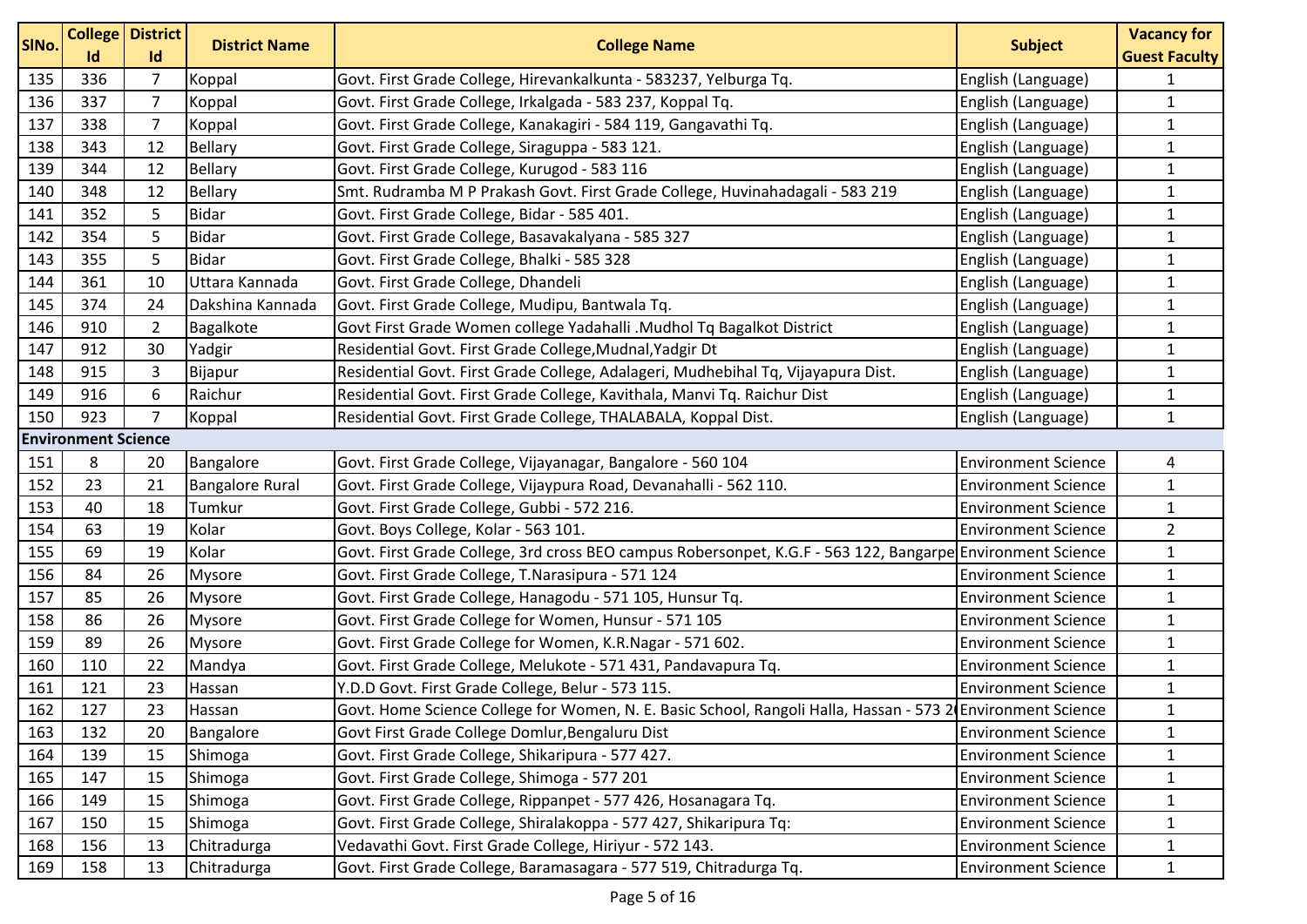| SINo. | Id                         | <b>College District</b><br>Id | <b>District Name</b>   | <b>College Name</b>                                                                                         | <b>Subject</b>             | <b>Vacancy for</b><br><b>Guest Faculty</b> |
|-------|----------------------------|-------------------------------|------------------------|-------------------------------------------------------------------------------------------------------------|----------------------------|--------------------------------------------|
| 135   | 336                        | $\overline{7}$                | Koppal                 | Govt. First Grade College, Hirevankalkunta - 583237, Yelburga Tq.                                           | English (Language)         | $\mathbf{1}$                               |
| 136   | 337                        | $\overline{7}$                | Koppal                 | Govt. First Grade College, Irkalgada - 583 237, Koppal Tq.                                                  | English (Language)         | $\mathbf{1}$                               |
| 137   | 338                        | $\overline{7}$                | Koppal                 | Govt. First Grade College, Kanakagiri - 584 119, Gangavathi Tq.                                             | English (Language)         | $\mathbf{1}$                               |
| 138   | 343                        | 12                            | <b>Bellary</b>         | Govt. First Grade College, Siraguppa - 583 121.                                                             | English (Language)         | $\mathbf 1$                                |
| 139   | 344                        | 12                            | Bellary                | Govt. First Grade College, Kurugod - 583 116                                                                | English (Language)         | $\mathbf 1$                                |
| 140   | 348                        | 12                            | Bellary                | Smt. Rudramba M P Prakash Govt. First Grade College, Huvinahadagali - 583 219                               | English (Language)         | $\mathbf{1}$                               |
| 141   | 352                        | 5                             | <b>Bidar</b>           | Govt. First Grade College, Bidar - 585 401.                                                                 | English (Language)         | $\mathbf 1$                                |
| 142   | 354                        | 5                             | <b>Bidar</b>           | Govt. First Grade College, Basavakalyana - 585 327                                                          | English (Language)         | $\mathbf{1}$                               |
| 143   | 355                        | 5                             | <b>Bidar</b>           | Govt. First Grade College, Bhalki - 585 328                                                                 | English (Language)         | $\mathbf{1}$                               |
| 144   | 361                        | 10                            | Uttara Kannada         | Govt. First Grade College, Dhandeli                                                                         | English (Language)         | $\mathbf{1}$                               |
| 145   | 374                        | 24                            | Dakshina Kannada       | Govt. First Grade College, Mudipu, Bantwala Tq.                                                             | English (Language)         | $\mathbf{1}$                               |
| 146   | 910                        | $\overline{2}$                | Bagalkote              | Govt First Grade Women college Yadahalli .Mudhol Tq Bagalkot District                                       | English (Language)         | $\mathbf{1}$                               |
| 147   | 912                        | 30                            | Yadgir                 | Residential Govt. First Grade College, Mudnal, Yadgir Dt                                                    | English (Language)         | $\mathbf{1}$                               |
| 148   | 915                        | 3                             | Bijapur                | Residential Govt. First Grade College, Adalageri, Mudhebihal Tq, Vijayapura Dist.                           | English (Language)         | $\mathbf 1$                                |
| 149   | 916                        | 6                             | Raichur                | Residential Govt. First Grade College, Kavithala, Manvi Tq. Raichur Dist                                    | English (Language)         | $\mathbf{1}$                               |
| 150   | 923                        | $\overline{7}$                | Koppal                 | Residential Govt. First Grade College, THALABALA, Koppal Dist.                                              | English (Language)         | $\mathbf{1}$                               |
|       | <b>Environment Science</b> |                               |                        |                                                                                                             |                            |                                            |
| 151   | 8                          | 20                            | Bangalore              | Govt. First Grade College, Vijayanagar, Bangalore - 560 104                                                 | <b>Environment Science</b> | 4                                          |
| 152   | 23                         | 21                            | <b>Bangalore Rural</b> | Govt. First Grade College, Vijaypura Road, Devanahalli - 562 110.                                           | <b>Environment Science</b> | $\mathbf 1$                                |
| 153   | 40                         | 18                            | Tumkur                 | Govt. First Grade College, Gubbi - 572 216.                                                                 | <b>Environment Science</b> | $\mathbf{1}$                               |
| 154   | 63                         | 19                            | Kolar                  | Govt. Boys College, Kolar - 563 101.                                                                        | <b>Environment Science</b> | $\overline{2}$                             |
| 155   | 69                         | 19                            | Kolar                  | Govt. First Grade College, 3rd cross BEO campus Robersonpet, K.G.F - 563 122, Bangarpe Environment Science  |                            | $\mathbf{1}$                               |
| 156   | 84                         | 26                            | <b>Mysore</b>          | Govt. First Grade College, T.Narasipura - 571 124                                                           | <b>Environment Science</b> | $\mathbf 1$                                |
| 157   | 85                         | 26                            | Mysore                 | Govt. First Grade College, Hanagodu - 571 105, Hunsur Tq.                                                   | <b>Environment Science</b> | $\mathbf 1$                                |
| 158   | 86                         | 26                            | Mysore                 | Govt. First Grade College for Women, Hunsur - 571 105                                                       | <b>Environment Science</b> | $\mathbf{1}$                               |
| 159   | 89                         | 26                            | <b>Mysore</b>          | Govt. First Grade College for Women, K.R.Nagar - 571 602.                                                   | <b>Environment Science</b> | $\mathbf 1$                                |
| 160   | 110                        | 22                            | Mandya                 | Govt. First Grade College, Melukote - 571 431, Pandavapura Tq.                                              | <b>Environment Science</b> | $\mathbf{1}$                               |
| 161   | 121                        | 23                            | Hassan                 | Y.D.D Govt. First Grade College, Belur - 573 115.                                                           | <b>Environment Science</b> | $\mathbf{1}$                               |
| 162   | 127                        | 23                            | Hassan                 | Govt. Home Science College for Women, N. E. Basic School, Rangoli Halla, Hassan - 573 2 Environment Science |                            | 1                                          |
| 163   | 132                        | 20                            | Bangalore              | Govt First Grade College Domlur, Bengaluru Dist                                                             | <b>Environment Science</b> | $\mathbf{1}$                               |
| 164   | 139                        | 15                            | Shimoga                | Govt. First Grade College, Shikaripura - 577 427.                                                           | <b>Environment Science</b> | $\mathbf{1}$                               |
| 165   | 147                        | 15                            | Shimoga                | Govt. First Grade College, Shimoga - 577 201                                                                | <b>Environment Science</b> | $\mathbf{1}$                               |
| 166   | 149                        | 15                            | Shimoga                | Govt. First Grade College, Rippanpet - 577 426, Hosanagara Tq.                                              | <b>Environment Science</b> | $\mathbf{1}$                               |
| 167   | 150                        | 15                            | Shimoga                | Govt. First Grade College, Shiralakoppa - 577 427, Shikaripura Tq:                                          | <b>Environment Science</b> | $\mathbf{1}$                               |
| 168   | 156                        | 13                            | Chitradurga            | Vedavathi Govt. First Grade College, Hiriyur - 572 143.                                                     | <b>Environment Science</b> | $\mathbf{1}$                               |
| 169   | 158                        | 13                            | Chitradurga            | Govt. First Grade College, Baramasagara - 577 519, Chitradurga Tq.                                          | <b>Environment Science</b> | $\mathbf{1}$                               |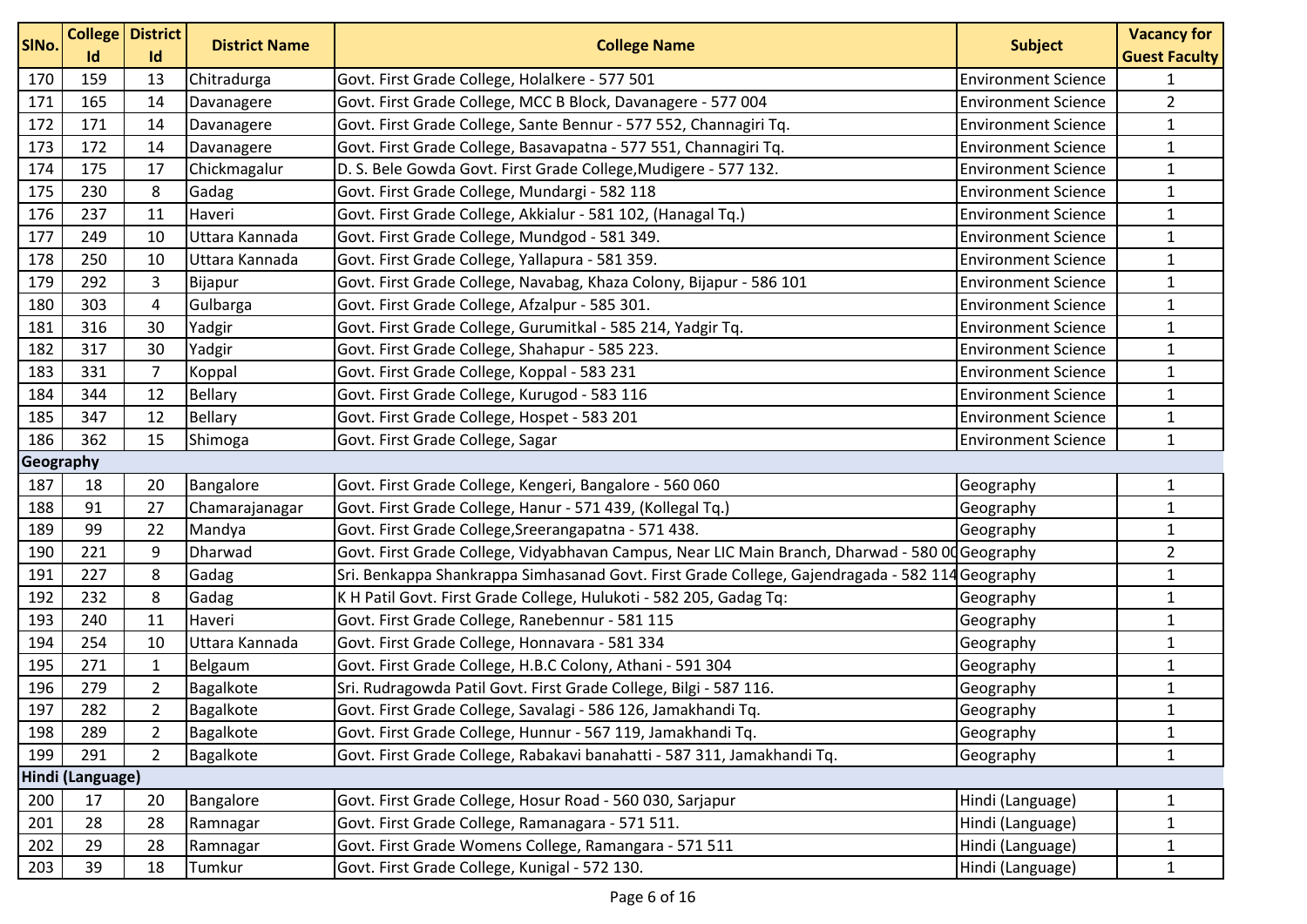| SINo.            |     | <b>College District</b> | <b>District Name</b> | <b>College Name</b>                                                                             | <b>Subject</b>             | <b>Vacancy for</b>   |  |
|------------------|-----|-------------------------|----------------------|-------------------------------------------------------------------------------------------------|----------------------------|----------------------|--|
|                  | Id  | Id                      |                      |                                                                                                 |                            | <b>Guest Faculty</b> |  |
| 170              | 159 | 13                      | Chitradurga          | Govt. First Grade College, Holalkere - 577 501                                                  | <b>Environment Science</b> | $\mathbf{1}$         |  |
| 171              | 165 | 14                      | Davanagere           | Govt. First Grade College, MCC B Block, Davanagere - 577 004                                    | <b>Environment Science</b> | $\overline{2}$       |  |
| 172              | 171 | 14                      | Davanagere           | Govt. First Grade College, Sante Bennur - 577 552, Channagiri Tq.                               | <b>Environment Science</b> | $\mathbf{1}$         |  |
| 173              | 172 | 14                      | Davanagere           | Govt. First Grade College, Basavapatna - 577 551, Channagiri Tq.                                | <b>Environment Science</b> | $\mathbf{1}$         |  |
| 174              | 175 | 17                      | Chickmagalur         | D. S. Bele Gowda Govt. First Grade College, Mudigere - 577 132.                                 | <b>Environment Science</b> | $\mathbf 1$          |  |
| 175              | 230 | 8                       | Gadag                | Govt. First Grade College, Mundargi - 582 118                                                   | <b>Environment Science</b> | $\mathbf{1}$         |  |
| 176              | 237 | 11                      | Haveri               | Govt. First Grade College, Akkialur - 581 102, (Hanagal Tq.)                                    | <b>Environment Science</b> | $\mathbf{1}$         |  |
| 177              | 249 | 10                      | Uttara Kannada       | Govt. First Grade College, Mundgod - 581 349.                                                   | <b>Environment Science</b> | $\mathbf{1}$         |  |
| 178              | 250 | 10                      | Uttara Kannada       | Govt. First Grade College, Yallapura - 581 359.                                                 | <b>Environment Science</b> | $\mathbf{1}$         |  |
| 179              | 292 | 3                       | Bijapur              | Govt. First Grade College, Navabag, Khaza Colony, Bijapur - 586 101                             | <b>Environment Science</b> | $\mathbf{1}$         |  |
| 180              | 303 | 4                       | Gulbarga             | Govt. First Grade College, Afzalpur - 585 301.                                                  | <b>Environment Science</b> | $\mathbf{1}$         |  |
| 181              | 316 | 30                      | Yadgir               | Govt. First Grade College, Gurumitkal - 585 214, Yadgir Tq.                                     | <b>Environment Science</b> | $\mathbf 1$          |  |
| 182              | 317 | 30                      | Yadgir               | Govt. First Grade College, Shahapur - 585 223.                                                  | <b>Environment Science</b> | $\mathbf{1}$         |  |
| 183              | 331 | $\overline{7}$          | Koppal               | Govt. First Grade College, Koppal - 583 231                                                     | <b>Environment Science</b> | $\mathbf 1$          |  |
| 184              | 344 | 12                      | Bellary              | Govt. First Grade College, Kurugod - 583 116                                                    | <b>Environment Science</b> | $\mathbf{1}$         |  |
| 185              | 347 | 12                      | <b>Bellary</b>       | Govt. First Grade College, Hospet - 583 201                                                     | <b>Environment Science</b> | $\mathbf{1}$         |  |
| 186              | 362 | 15                      | Shimoga              | Govt. First Grade College, Sagar                                                                | <b>Environment Science</b> | $\mathbf{1}$         |  |
| Geography        |     |                         |                      |                                                                                                 |                            |                      |  |
| 187              | 18  | 20                      | Bangalore            | Govt. First Grade College, Kengeri, Bangalore - 560 060                                         | Geography                  | $\mathbf{1}$         |  |
| 188              | 91  | 27                      | Chamarajanagar       | Govt. First Grade College, Hanur - 571 439, (Kollegal Tq.)                                      | Geography                  | $\mathbf{1}$         |  |
| 189              | 99  | 22                      | Mandya               | Govt. First Grade College, Sreerangapatna - 571 438.                                            | Geography                  | $\mathbf{1}$         |  |
| 190              | 221 | 9                       | Dharwad              | Govt. First Grade College, Vidyabhavan Campus, Near LIC Main Branch, Dharwad - 580 00 Geography |                            | $\overline{2}$       |  |
| 191              | 227 | 8                       | Gadag                | Sri. Benkappa Shankrappa Simhasanad Govt. First Grade College, Gajendragada - 582 114 Geography |                            | $\mathbf 1$          |  |
| 192              | 232 | 8                       | Gadag                | K H Patil Govt. First Grade College, Hulukoti - 582 205, Gadag Tq:                              | Geography                  | $\mathbf 1$          |  |
| 193              | 240 | 11                      | Haveri               | Govt. First Grade College, Ranebennur - 581 115                                                 | Geography                  | $\mathbf{1}$         |  |
| 194              | 254 | 10                      | Uttara Kannada       | Govt. First Grade College, Honnavara - 581 334                                                  | Geography                  | $\mathbf{1}$         |  |
| 195              | 271 | $\mathbf{1}$            | Belgaum              | Govt. First Grade College, H.B.C Colony, Athani - 591 304                                       | Geography                  | $\mathbf{1}$         |  |
| 196              | 279 | $\overline{2}$          | Bagalkote            | Sri. Rudragowda Patil Govt. First Grade College, Bilgi - 587 116.                               | Geography                  | $\mathbf{1}$         |  |
| 197              | 282 | $\overline{2}$          | Bagalkote            | Govt. First Grade College, Savalagi - 586 126, Jamakhandi Tq.                                   | Geography                  | $\mathbf{1}$         |  |
| 198              | 289 | $\overline{2}$          | Bagalkote            | Govt. First Grade College, Hunnur - 567 119, Jamakhandi Tq.                                     | Geography                  | $\mathbf{1}$         |  |
| 199              | 291 | $\overline{2}$          | Bagalkote            | Govt. First Grade College, Rabakavi banahatti - 587 311, Jamakhandi Tq.                         | Geography                  | $\mathbf{1}$         |  |
| Hindi (Language) |     |                         |                      |                                                                                                 |                            |                      |  |
| 200              | 17  | 20                      | Bangalore            | Govt. First Grade College, Hosur Road - 560 030, Sarjapur                                       | Hindi (Language)           | $\mathbf{1}$         |  |
| 201              | 28  | 28                      | Ramnagar             | Govt. First Grade College, Ramanagara - 571 511.                                                | Hindi (Language)           | 1                    |  |
| 202              | 29  | 28                      | Ramnagar             | Govt. First Grade Womens College, Ramangara - 571 511                                           | Hindi (Language)           | $\mathbf{1}$         |  |
| 203              | 39  | 18                      | Tumkur               | Govt. First Grade College, Kunigal - 572 130.                                                   | Hindi (Language)           | $\mathbf{1}$         |  |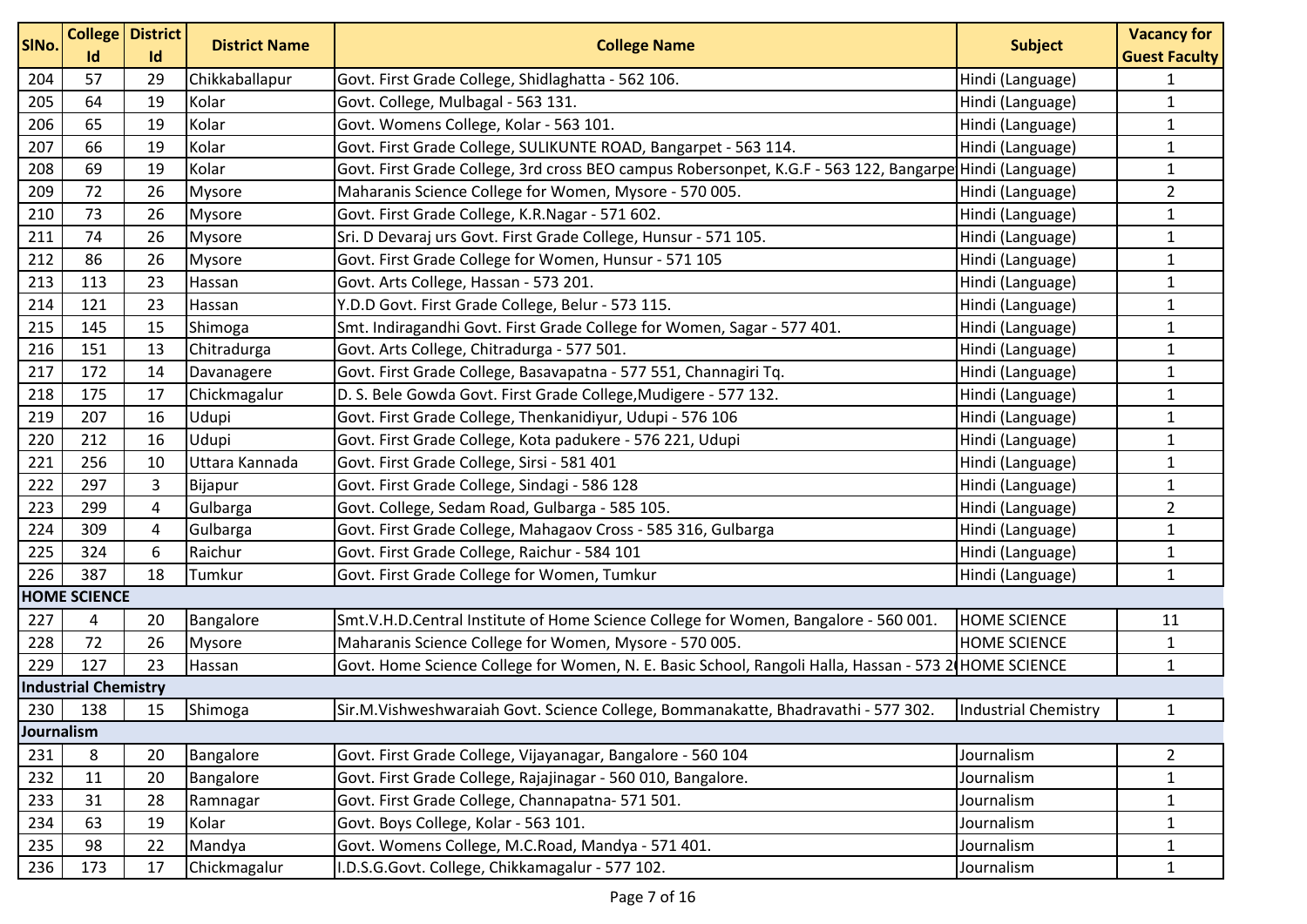| SINo.      | Id                          | <b>College</b> District<br>Id | <b>District Name</b> | <b>College Name</b>                                                                                     | <b>Subject</b>       | <b>Vacancy for</b><br><b>Guest Faculty</b> |
|------------|-----------------------------|-------------------------------|----------------------|---------------------------------------------------------------------------------------------------------|----------------------|--------------------------------------------|
| 204        | 57                          | 29                            | Chikkaballapur       | Govt. First Grade College, Shidlaghatta - 562 106.                                                      | Hindi (Language)     | 1                                          |
| 205        | 64                          | 19                            | Kolar                | Govt. College, Mulbagal - 563 131.                                                                      | Hindi (Language)     | $\mathbf{1}$                               |
| 206        | 65                          | 19                            | Kolar                | Govt. Womens College, Kolar - 563 101.                                                                  | Hindi (Language)     | $\mathbf{1}$                               |
| 207        | 66                          | 19                            | Kolar                | Govt. First Grade College, SULIKUNTE ROAD, Bangarpet - 563 114.                                         | Hindi (Language)     | $\mathbf{1}$                               |
| 208        | 69                          | 19                            | Kolar                | Govt. First Grade College, 3rd cross BEO campus Robersonpet, K.G.F - 563 122, Bangarpe Hindi (Language) |                      | $\mathbf{1}$                               |
| 209        | 72                          | 26                            | <b>Mysore</b>        | Maharanis Science College for Women, Mysore - 570 005.                                                  | Hindi (Language)     | $\overline{2}$                             |
| 210        | 73                          | 26                            | <b>Mysore</b>        | Govt. First Grade College, K.R.Nagar - 571 602.                                                         | Hindi (Language)     | $\mathbf{1}$                               |
| 211        | 74                          | 26                            | <b>Mysore</b>        | Sri. D Devaraj urs Govt. First Grade College, Hunsur - 571 105.                                         | Hindi (Language)     | $\mathbf{1}$                               |
| 212        | 86                          | 26                            | <b>Mysore</b>        | Govt. First Grade College for Women, Hunsur - 571 105                                                   | Hindi (Language)     | $\mathbf{1}$                               |
| 213        | 113                         | 23                            | Hassan               | Govt. Arts College, Hassan - 573 201.                                                                   | Hindi (Language)     | $\mathbf{1}$                               |
| 214        | 121                         | 23                            | Hassan               | Y.D.D Govt. First Grade College, Belur - 573 115.                                                       | Hindi (Language)     | $\mathbf{1}$                               |
| 215        | 145                         | 15                            | Shimoga              | Smt. Indiragandhi Govt. First Grade College for Women, Sagar - 577 401.                                 | Hindi (Language)     | $\mathbf 1$                                |
| 216        | 151                         | 13                            | Chitradurga          | Govt. Arts College, Chitradurga - 577 501.                                                              | Hindi (Language)     | $\mathbf{1}$                               |
| 217        | 172                         | 14                            | Davanagere           | Govt. First Grade College, Basavapatna - 577 551, Channagiri Tq.                                        | Hindi (Language)     | $\mathbf 1$                                |
| 218        | 175                         | 17                            | Chickmagalur         | D. S. Bele Gowda Govt. First Grade College, Mudigere - 577 132.                                         | Hindi (Language)     | $\mathbf{1}$                               |
| 219        | 207                         | 16                            | Udupi                | Govt. First Grade College, Thenkanidiyur, Udupi - 576 106                                               | Hindi (Language)     | $\mathbf{1}$                               |
| 220        | 212                         | 16                            | Udupi                | Govt. First Grade College, Kota padukere - 576 221, Udupi                                               | Hindi (Language)     | $\mathbf{1}$                               |
| 221        | 256                         | 10                            | Uttara Kannada       | Govt. First Grade College, Sirsi - 581 401                                                              | Hindi (Language)     | $\mathbf{1}$                               |
| 222        | 297                         | 3                             | Bijapur              | Govt. First Grade College, Sindagi - 586 128                                                            | Hindi (Language)     | $\mathbf{1}$                               |
| 223        | 299                         | 4                             | Gulbarga             | Govt. College, Sedam Road, Gulbarga - 585 105.                                                          | Hindi (Language)     | $\overline{2}$                             |
| 224        | 309                         | 4                             | Gulbarga             | Govt. First Grade College, Mahagaov Cross - 585 316, Gulbarga                                           | Hindi (Language)     | $\mathbf{1}$                               |
| 225        | 324                         | 6                             | Raichur              | Govt. First Grade College, Raichur - 584 101                                                            | Hindi (Language)     | $\mathbf{1}$                               |
| 226        | 387                         | 18                            | Tumkur               | Govt. First Grade College for Women, Tumkur                                                             | Hindi (Language)     | $\mathbf{1}$                               |
|            | <b>HOME SCIENCE</b>         |                               |                      |                                                                                                         |                      |                                            |
| 227        | 4                           | 20                            | Bangalore            | Smt.V.H.D.Central Institute of Home Science College for Women, Bangalore - 560 001.                     | <b>HOME SCIENCE</b>  | 11                                         |
| 228        | 72                          | 26                            | <b>Mysore</b>        | Maharanis Science College for Women, Mysore - 570 005.                                                  | <b>HOME SCIENCE</b>  | $\mathbf{1}$                               |
| 229        | 127                         | 23                            | Hassan               | Govt. Home Science College for Women, N. E. Basic School, Rangoli Halla, Hassan - 573 2 HOME SCIENCE    |                      | $\mathbf{1}$                               |
|            | <b>Industrial Chemistry</b> |                               |                      |                                                                                                         |                      |                                            |
| 230        | 138                         | 15                            | Shimoga              | Sir.M.Vishweshwaraiah Govt. Science College, Bommanakatte, Bhadravathi - 577 302.                       | Industrial Chemistry | 1                                          |
| Journalism |                             |                               |                      |                                                                                                         |                      |                                            |
| 231        | 8                           | 20                            | Bangalore            | Govt. First Grade College, Vijayanagar, Bangalore - 560 104                                             | Journalism           | $\overline{2}$                             |
| 232        | 11                          | 20                            | Bangalore            | Govt. First Grade College, Rajajinagar - 560 010, Bangalore.                                            | Journalism           | $\mathbf{1}$                               |
| 233        | 31                          | 28                            | Ramnagar             | Govt. First Grade College, Channapatna- 571 501.                                                        | Journalism           | $\mathbf{1}$                               |
| 234        | 63                          | 19                            | Kolar                | Govt. Boys College, Kolar - 563 101.                                                                    | Journalism           | $\mathbf{1}$                               |
| 235        | 98                          | 22                            | Mandya               | Govt. Womens College, M.C.Road, Mandya - 571 401.                                                       | Journalism           | $\mathbf{1}$                               |
| 236        | 173                         | 17                            | Chickmagalur         | I.D.S.G.Govt. College, Chikkamagalur - 577 102.                                                         | Journalism           | $\mathbf{1}$                               |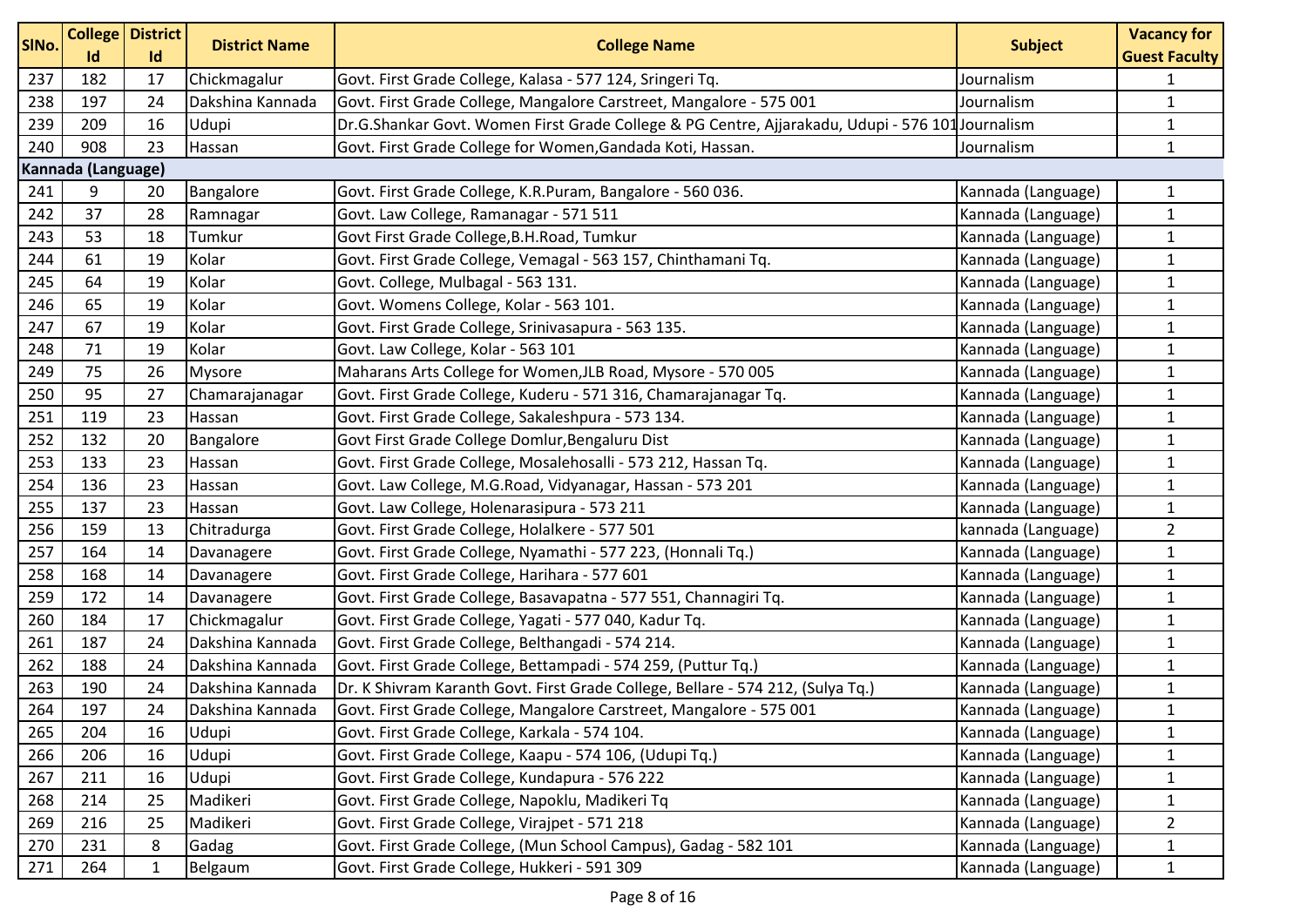| SINo. | <b>College</b><br>Id | <b>District</b><br>Id | <b>District Name</b> | <b>College Name</b>                                                                              | <b>Subject</b>     | <b>Vacancy for</b><br><b>Guest Faculty</b> |
|-------|----------------------|-----------------------|----------------------|--------------------------------------------------------------------------------------------------|--------------------|--------------------------------------------|
| 237   | 182                  | 17                    | Chickmagalur         | Govt. First Grade College, Kalasa - 577 124, Sringeri Tq.                                        | Journalism         | $\mathbf{1}$                               |
| 238   | 197                  | 24                    | Dakshina Kannada     | Govt. First Grade College, Mangalore Carstreet, Mangalore - 575 001                              | Journalism         | $\mathbf{1}$                               |
| 239   | 209                  | 16                    | Udupi                | Dr.G.Shankar Govt. Women First Grade College & PG Centre, Ajjarakadu, Udupi - 576 101 Journalism |                    | $\mathbf{1}$                               |
| 240   | 908                  | 23                    | Hassan               | Govt. First Grade College for Women, Gandada Koti, Hassan.                                       | Journalism         | $\mathbf{1}$                               |
|       | Kannada (Language)   |                       |                      |                                                                                                  |                    |                                            |
| 241   | 9                    | 20                    | Bangalore            | Govt. First Grade College, K.R.Puram, Bangalore - 560 036.                                       | Kannada (Language) | $\mathbf{1}$                               |
| 242   | 37                   | 28                    | Ramnagar             | Govt. Law College, Ramanagar - 571 511                                                           | Kannada (Language) | $\mathbf{1}$                               |
| 243   | 53                   | 18                    | Tumkur               | Govt First Grade College, B.H. Road, Tumkur                                                      | Kannada (Language) | $\mathbf{1}$                               |
| 244   | 61                   | 19                    | Kolar                | Govt. First Grade College, Vemagal - 563 157, Chinthamani Tq.                                    | Kannada (Language) | $\mathbf{1}$                               |
| 245   | 64                   | 19                    | Kolar                | Govt. College, Mulbagal - 563 131.                                                               | Kannada (Language) | $\mathbf{1}$                               |
| 246   | 65                   | 19                    | Kolar                | Govt. Womens College, Kolar - 563 101.                                                           | Kannada (Language) | $\mathbf{1}$                               |
| 247   | 67                   | 19                    | Kolar                | Govt. First Grade College, Srinivasapura - 563 135.                                              | Kannada (Language) | $\mathbf{1}$                               |
| 248   | 71                   | 19                    | Kolar                | Govt. Law College, Kolar - 563 101                                                               | Kannada (Language) | $\mathbf{1}$                               |
| 249   | 75                   | 26                    | Mysore               | Maharans Arts College for Women, JLB Road, Mysore - 570 005                                      | Kannada (Language) | $\mathbf{1}$                               |
| 250   | 95                   | 27                    | Chamarajanagar       | Govt. First Grade College, Kuderu - 571 316, Chamarajanagar Tq.                                  | Kannada (Language) | $\mathbf{1}$                               |
| 251   | 119                  | 23                    | Hassan               | Govt. First Grade College, Sakaleshpura - 573 134.                                               | Kannada (Language) | $\mathbf{1}$                               |
| 252   | 132                  | 20                    | Bangalore            | Govt First Grade College Domlur, Bengaluru Dist                                                  | Kannada (Language) | $\mathbf{1}$                               |
| 253   | 133                  | 23                    | Hassan               | Govt. First Grade College, Mosalehosalli - 573 212, Hassan Tq.                                   | Kannada (Language) | $\mathbf{1}$                               |
| 254   | 136                  | 23                    | Hassan               | Govt. Law College, M.G.Road, Vidyanagar, Hassan - 573 201                                        | Kannada (Language) | $\mathbf{1}$                               |
| 255   | 137                  | 23                    | Hassan               | Govt. Law College, Holenarasipura - 573 211                                                      | Kannada (Language) | $\mathbf{1}$                               |
| 256   | 159                  | 13                    | Chitradurga          | Govt. First Grade College, Holalkere - 577 501                                                   | kannada (Language) | $\overline{2}$                             |
| 257   | 164                  | 14                    | Davanagere           | Govt. First Grade College, Nyamathi - 577 223, (Honnali Tq.)                                     | Kannada (Language) | $\mathbf{1}$                               |
| 258   | 168                  | 14                    | Davanagere           | Govt. First Grade College, Harihara - 577 601                                                    | Kannada (Language) | $\mathbf{1}$                               |
| 259   | 172                  | 14                    | Davanagere           | Govt. First Grade College, Basavapatna - 577 551, Channagiri Tq.                                 | Kannada (Language) | $\mathbf{1}$                               |
| 260   | 184                  | 17                    | Chickmagalur         | Govt. First Grade College, Yagati - 577 040, Kadur Tq.                                           | Kannada (Language) | $\mathbf{1}$                               |
| 261   | 187                  | 24                    | Dakshina Kannada     | Govt. First Grade College, Belthangadi - 574 214.                                                | Kannada (Language) | $\mathbf{1}$                               |
| 262   | 188                  | 24                    | Dakshina Kannada     | Govt. First Grade College, Bettampadi - 574 259, (Puttur Tq.)                                    | Kannada (Language) | $\mathbf{1}$                               |
| 263   | 190                  | 24                    | Dakshina Kannada     | Dr. K Shivram Karanth Govt. First Grade College, Bellare - 574 212, (Sulya Tq.)                  | Kannada (Language) | $\mathbf{1}$                               |
| 264   | 197                  | 24                    | Dakshina Kannada     | Govt. First Grade College, Mangalore Carstreet, Mangalore - 575 001                              | Kannada (Language) | $\mathbf 1$                                |
| 265   | 204                  | 16                    | Udupi                | Govt. First Grade College, Karkala - 574 104.                                                    | Kannada (Language) | $\mathbf{1}$                               |
| 266   | 206                  | 16                    | Udupi                | Govt. First Grade College, Kaapu - 574 106, (Udupi Tq.)                                          | Kannada (Language) | $\mathbf{1}$                               |
| 267   | 211                  | 16                    | Udupi                | Govt. First Grade College, Kundapura - 576 222                                                   | Kannada (Language) | $\mathbf{1}$                               |
| 268   | 214                  | 25                    | Madikeri             | Govt. First Grade College, Napoklu, Madikeri Tq                                                  | Kannada (Language) | $\mathbf{1}$                               |
| 269   | 216                  | 25                    | Madikeri             | Govt. First Grade College, Virajpet - 571 218                                                    | Kannada (Language) | $\overline{2}$                             |
| 270   | 231                  | 8                     | Gadag                | Govt. First Grade College, (Mun School Campus), Gadag - 582 101                                  | Kannada (Language) | $\mathbf{1}$                               |
| 271   | 264                  | $\mathbf{1}$          | Belgaum              | Govt. First Grade College, Hukkeri - 591 309                                                     | Kannada (Language) | $\mathbf{1}$                               |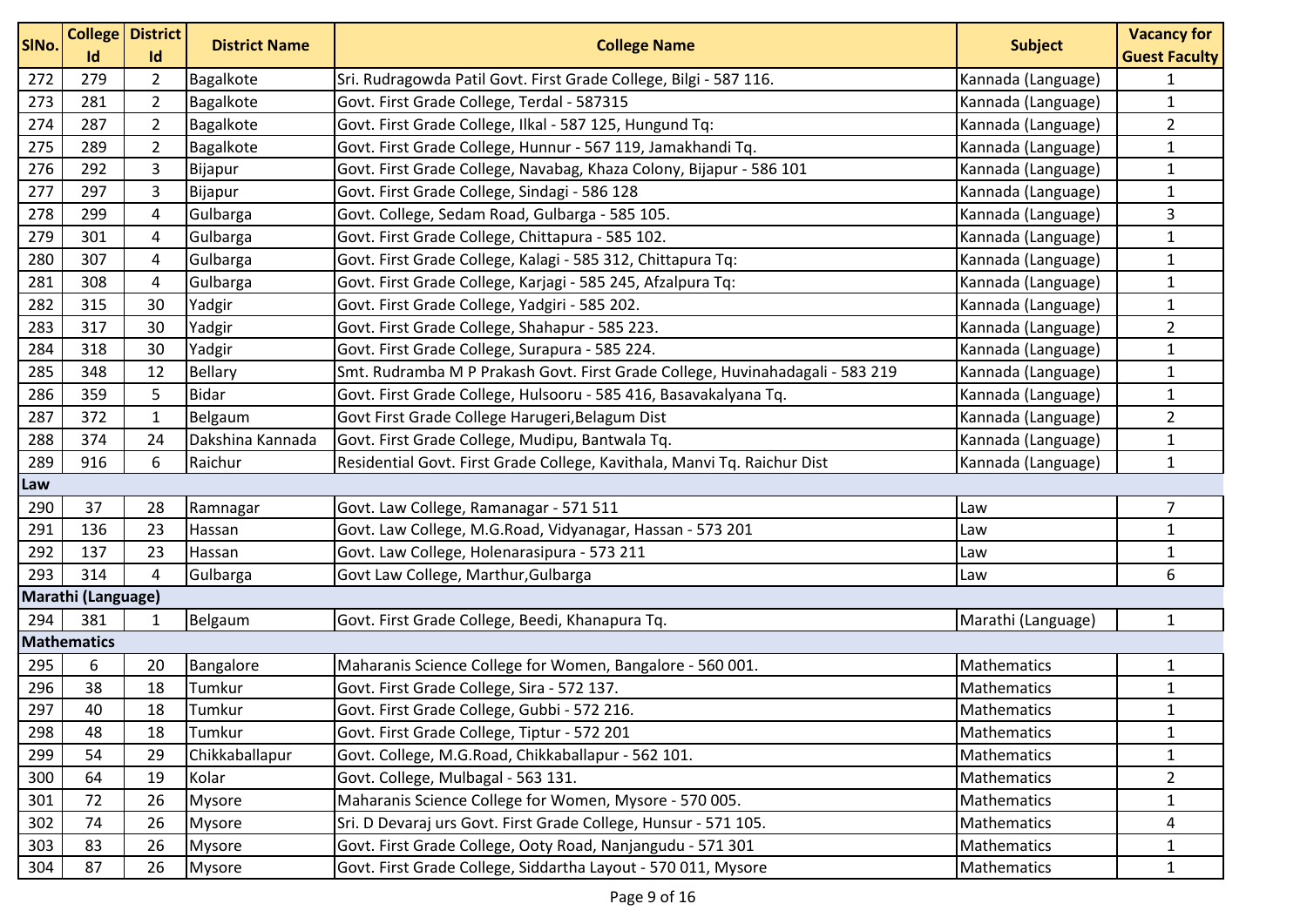| SINo. | Id                 | <b>College District</b><br>Id | <b>District Name</b> | <b>College Name</b>                                                           | <b>Subject</b>     | <b>Vacancy for</b><br><b>Guest Faculty</b> |
|-------|--------------------|-------------------------------|----------------------|-------------------------------------------------------------------------------|--------------------|--------------------------------------------|
| 272   | 279                | $\overline{2}$                | Bagalkote            | Sri. Rudragowda Patil Govt. First Grade College, Bilgi - 587 116.             | Kannada (Language) | $\mathbf{1}$                               |
| 273   | 281                | $\overline{2}$                | Bagalkote            | Govt. First Grade College, Terdal - 587315                                    | Kannada (Language) | $\mathbf{1}$                               |
| 274   | 287                | $\overline{2}$                | Bagalkote            | Govt. First Grade College, Ilkal - 587 125, Hungund Tq:                       | Kannada (Language) | $\overline{2}$                             |
| 275   | 289                | $\overline{2}$                | Bagalkote            | Govt. First Grade College, Hunnur - 567 119, Jamakhandi Tq.                   | Kannada (Language) | $\mathbf{1}$                               |
| 276   | 292                | 3                             | Bijapur              | Govt. First Grade College, Navabag, Khaza Colony, Bijapur - 586 101           | Kannada (Language) | $\mathbf{1}$                               |
| 277   | 297                | 3                             | Bijapur              | Govt. First Grade College, Sindagi - 586 128                                  | Kannada (Language) | $\mathbf{1}$                               |
| 278   | 299                | $\overline{4}$                | Gulbarga             | Govt. College, Sedam Road, Gulbarga - 585 105.                                | Kannada (Language) | 3                                          |
| 279   | 301                | 4                             | Gulbarga             | Govt. First Grade College, Chittapura - 585 102.                              | Kannada (Language) | $\mathbf{1}$                               |
| 280   | 307                | 4                             | Gulbarga             | Govt. First Grade College, Kalagi - 585 312, Chittapura Tq:                   | Kannada (Language) | $\mathbf{1}$                               |
| 281   | 308                | 4                             | Gulbarga             | Govt. First Grade College, Karjagi - 585 245, Afzalpura Tq:                   | Kannada (Language) | $\mathbf{1}$                               |
| 282   | 315                | 30                            | Yadgir               | Govt. First Grade College, Yadgiri - 585 202.                                 | Kannada (Language) | $\mathbf{1}$                               |
| 283   | 317                | 30                            | Yadgir               | Govt. First Grade College, Shahapur - 585 223.                                | Kannada (Language) | $\overline{2}$                             |
| 284   | 318                | 30                            | Yadgir               | Govt. First Grade College, Surapura - 585 224.                                | Kannada (Language) | $\mathbf{1}$                               |
| 285   | 348                | 12                            | <b>Bellary</b>       | Smt. Rudramba M P Prakash Govt. First Grade College, Huvinahadagali - 583 219 | Kannada (Language) | $\mathbf 1$                                |
| 286   | 359                | 5                             | <b>Bidar</b>         | Govt. First Grade College, Hulsooru - 585 416, Basavakalyana Tq.              | Kannada (Language) | $\mathbf{1}$                               |
| 287   | 372                | $\mathbf{1}$                  | Belgaum              | Govt First Grade College Harugeri, Belagum Dist                               | Kannada (Language) | $\overline{2}$                             |
| 288   | 374                | 24                            | Dakshina Kannada     | Govt. First Grade College, Mudipu, Bantwala Tq.                               | Kannada (Language) | $\mathbf{1}$                               |
| 289   | 916                | 6                             | Raichur              | Residential Govt. First Grade College, Kavithala, Manvi Tq. Raichur Dist      | Kannada (Language) | $\mathbf 1$                                |
| Law   |                    |                               |                      |                                                                               |                    |                                            |
| 290   | 37                 | 28                            | Ramnagar             | Govt. Law College, Ramanagar - 571 511                                        | Law                | $\overline{7}$                             |
| 291   | 136                | 23                            | Hassan               | Govt. Law College, M.G.Road, Vidyanagar, Hassan - 573 201                     | Law                | $\mathbf{1}$                               |
| 292   | 137                | 23                            | Hassan               | Govt. Law College, Holenarasipura - 573 211                                   | Law                | $\mathbf{1}$                               |
| 293   | 314                | $\overline{4}$                | Gulbarga             | Govt Law College, Marthur, Gulbarga                                           | Law                | 6                                          |
|       | Marathi (Language) |                               |                      |                                                                               |                    |                                            |
| 294   | 381                | 1                             | Belgaum              | Govt. First Grade College, Beedi, Khanapura Tq.                               | Marathi (Language) | $\mathbf{1}$                               |
|       | <b>Mathematics</b> |                               |                      |                                                                               |                    |                                            |
| 295   | 6                  | 20                            | Bangalore            | Maharanis Science College for Women, Bangalore - 560 001.                     | Mathematics        | $\mathbf{1}$                               |
| 296   | 38                 | 18                            | Tumkur               | Govt. First Grade College, Sira - 572 137.                                    | Mathematics        | $\mathbf{1}$                               |
| 297   | 40                 | 18                            | Tumkur               | Govt. First Grade College, Gubbi - 572 216.                                   | Mathematics        | 1                                          |
| 298   | 48                 | 18                            | Tumkur               | Govt. First Grade College, Tiptur - 572 201                                   | Mathematics        | $\mathbf{1}$                               |
| 299   | 54                 | 29                            | Chikkaballapur       | Govt. College, M.G.Road, Chikkaballapur - 562 101.                            | Mathematics        | $\mathbf{1}$                               |
| 300   | 64                 | 19                            | Kolar                | Govt. College, Mulbagal - 563 131.                                            | Mathematics        | $\overline{2}$                             |
| 301   | 72                 | 26                            | <b>Mysore</b>        | Maharanis Science College for Women, Mysore - 570 005.                        | Mathematics        | $\mathbf{1}$                               |
| 302   | 74                 | 26                            | Mysore               | Sri. D Devaraj urs Govt. First Grade College, Hunsur - 571 105.               | Mathematics        | 4                                          |
| 303   | 83                 | 26                            | <b>Mysore</b>        | Govt. First Grade College, Ooty Road, Nanjangudu - 571 301                    | Mathematics        | $\mathbf{1}$                               |
| 304   | 87                 | 26                            | Mysore               | Govt. First Grade College, Siddartha Layout - 570 011, Mysore                 | Mathematics        | $\mathbf{1}$                               |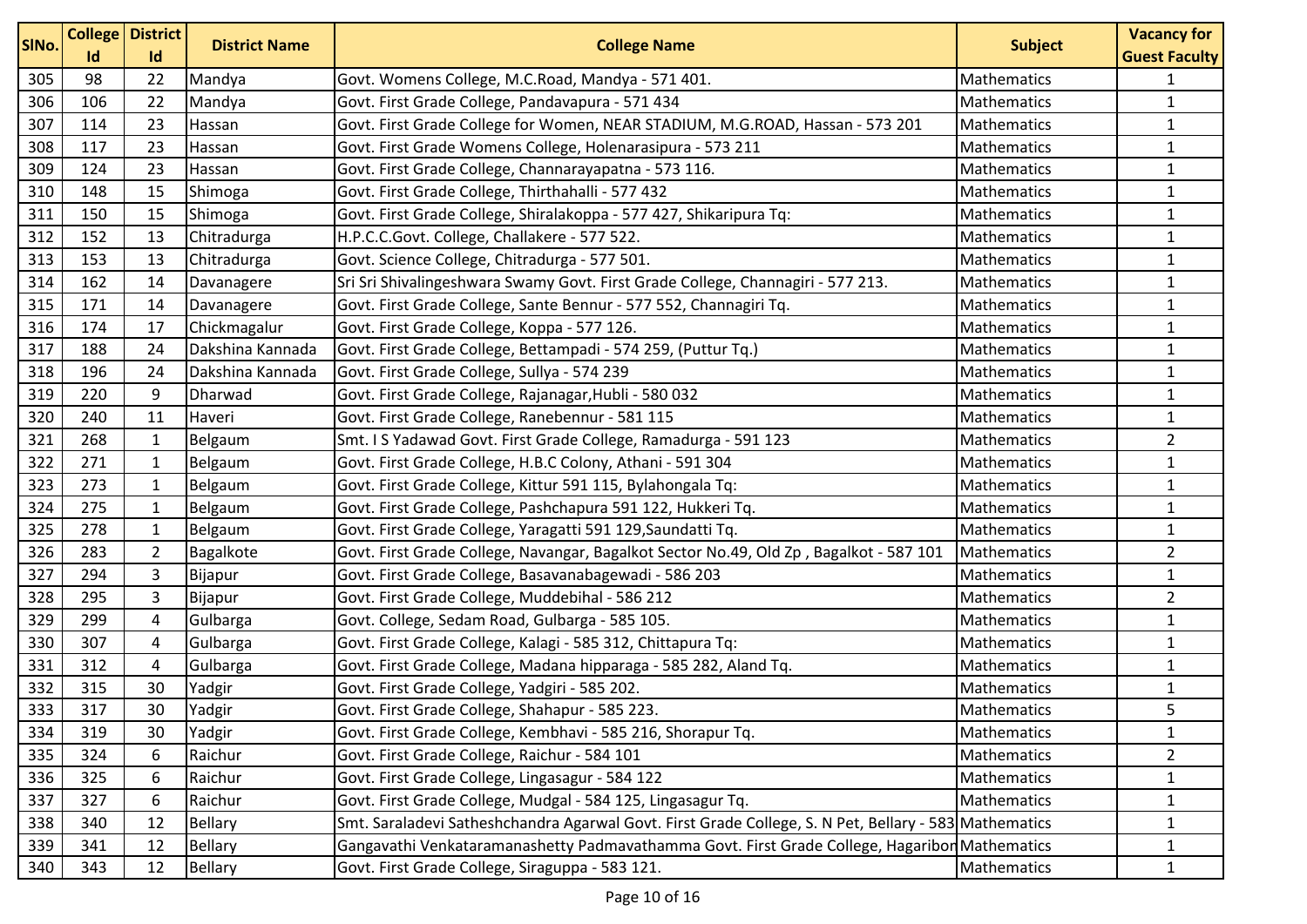| SINo. |     | <b>College District</b> | <b>District Name</b> | <b>College Name</b>                                                                                   | <b>Subject</b>     | <b>Vacancy for</b>   |
|-------|-----|-------------------------|----------------------|-------------------------------------------------------------------------------------------------------|--------------------|----------------------|
|       | Id  | Id                      |                      |                                                                                                       |                    | <b>Guest Faculty</b> |
| 305   | 98  | 22                      | Mandya               | Govt. Womens College, M.C.Road, Mandya - 571 401.                                                     | <b>Mathematics</b> | $\mathbf{1}$         |
| 306   | 106 | 22                      | Mandya               | Govt. First Grade College, Pandavapura - 571 434                                                      | Mathematics        | $\mathbf{1}$         |
| 307   | 114 | 23                      | Hassan               | Govt. First Grade College for Women, NEAR STADIUM, M.G.ROAD, Hassan - 573 201                         | Mathematics        | $\mathbf{1}$         |
| 308   | 117 | 23                      | Hassan               | Govt. First Grade Womens College, Holenarasipura - 573 211                                            | Mathematics        | $\mathbf{1}$         |
| 309   | 124 | 23                      | Hassan               | Govt. First Grade College, Channarayapatna - 573 116.                                                 | Mathematics        | $\mathbf{1}$         |
| 310   | 148 | 15                      | Shimoga              | Govt. First Grade College, Thirthahalli - 577 432                                                     | Mathematics        | $\mathbf{1}$         |
| 311   | 150 | 15                      | Shimoga              | Govt. First Grade College, Shiralakoppa - 577 427, Shikaripura Tq:                                    | Mathematics        | $\mathbf{1}$         |
| 312   | 152 | 13                      | Chitradurga          | H.P.C.C.Govt. College, Challakere - 577 522.                                                          | Mathematics        | $\mathbf{1}$         |
| 313   | 153 | 13                      | Chitradurga          | Govt. Science College, Chitradurga - 577 501.                                                         | <b>Mathematics</b> | $\mathbf{1}$         |
| 314   | 162 | 14                      | Davanagere           | Sri Sri Shivalingeshwara Swamy Govt. First Grade College, Channagiri - 577 213.                       | Mathematics        | $\mathbf 1$          |
| 315   | 171 | 14                      | Davanagere           | Govt. First Grade College, Sante Bennur - 577 552, Channagiri Tq.                                     | <b>Mathematics</b> | $\mathbf{1}$         |
| 316   | 174 | 17                      | Chickmagalur         | Govt. First Grade College, Koppa - 577 126.                                                           | Mathematics        | $\mathbf{1}$         |
| 317   | 188 | 24                      | Dakshina Kannada     | Govt. First Grade College, Bettampadi - 574 259, (Puttur Tq.)                                         | Mathematics        | $\mathbf{1}$         |
| 318   | 196 | 24                      | Dakshina Kannada     | Govt. First Grade College, Sullya - 574 239                                                           | <b>Mathematics</b> | $\mathbf{1}$         |
| 319   | 220 | 9                       | Dharwad              | Govt. First Grade College, Rajanagar, Hubli - 580 032                                                 | Mathematics        | $\mathbf{1}$         |
| 320   | 240 | 11                      | Haveri               | Govt. First Grade College, Ranebennur - 581 115                                                       | Mathematics        | $\mathbf{1}$         |
| 321   | 268 | $\mathbf{1}$            | Belgaum              | Smt. I S Yadawad Govt. First Grade College, Ramadurga - 591 123                                       | <b>Mathematics</b> | $\overline{2}$       |
| 322   | 271 | $\mathbf{1}$            | Belgaum              | Govt. First Grade College, H.B.C Colony, Athani - 591 304                                             | Mathematics        | $\mathbf{1}$         |
| 323   | 273 | $\mathbf{1}$            | Belgaum              | Govt. First Grade College, Kittur 591 115, Bylahongala Tq:                                            | Mathematics        | $\mathbf{1}$         |
| 324   | 275 | $\mathbf{1}$            | Belgaum              | Govt. First Grade College, Pashchapura 591 122, Hukkeri Tq.                                           | <b>Mathematics</b> | $\mathbf{1}$         |
| 325   | 278 | $\mathbf{1}$            | Belgaum              | Govt. First Grade College, Yaragatti 591 129, Saundatti Tq.                                           | Mathematics        | $\mathbf{1}$         |
| 326   | 283 | $\overline{2}$          | Bagalkote            | Govt. First Grade College, Navangar, Bagalkot Sector No.49, Old Zp, Bagalkot - 587 101                | Mathematics        | $\overline{2}$       |
| 327   | 294 | $\overline{3}$          | Bijapur              | Govt. First Grade College, Basavanabagewadi - 586 203                                                 | Mathematics        | $\mathbf{1}$         |
| 328   | 295 | $\mathsf 3$             | Bijapur              | Govt. First Grade College, Muddebihal - 586 212                                                       | Mathematics        | $\overline{2}$       |
| 329   | 299 | $\overline{a}$          | Gulbarga             | Govt. College, Sedam Road, Gulbarga - 585 105.                                                        | Mathematics        | $\mathbf{1}$         |
| 330   | 307 | 4                       | Gulbarga             | Govt. First Grade College, Kalagi - 585 312, Chittapura Tq:                                           | Mathematics        | $\mathbf{1}$         |
| 331   | 312 | 4                       | Gulbarga             | Govt. First Grade College, Madana hipparaga - 585 282, Aland Tq.                                      | Mathematics        | $\mathbf{1}$         |
| 332   | 315 | 30                      | Yadgir               | Govt. First Grade College, Yadgiri - 585 202.                                                         | Mathematics        | $\mathbf{1}$         |
| 333   | 317 | 30                      | Yadgir               | Govt. First Grade College, Shahapur - 585 223.                                                        | Mathematics        | 5                    |
| 334   | 319 | 30                      | Yadgir               | Govt. First Grade College, Kembhavi - 585 216, Shorapur Tq.                                           | Mathematics        | $\mathbf{1}$         |
| 335   | 324 | 6                       | Raichur              | Govt. First Grade College, Raichur - 584 101                                                          | Mathematics        | $\overline{2}$       |
| 336   | 325 | 6                       | Raichur              | Govt. First Grade College, Lingasagur - 584 122                                                       | Mathematics        | $\mathbf{1}$         |
| 337   | 327 | 6                       | Raichur              | Govt. First Grade College, Mudgal - 584 125, Lingasagur Tq.                                           | Mathematics        | $\mathbf{1}$         |
| 338   | 340 | 12                      | <b>Bellary</b>       | Smt. Saraladevi Satheshchandra Agarwal Govt. First Grade College, S. N Pet, Bellary - 583 Mathematics |                    | 1                    |
| 339   | 341 | 12                      | Bellary              | Gangavathi Venkataramanashetty Padmavathamma Govt. First Grade College, Hagaribon Mathematics         |                    | $\mathbf{1}$         |
| 340   | 343 | 12                      | Bellary              | Govt. First Grade College, Siraguppa - 583 121.                                                       | Mathematics        | $\mathbf{1}$         |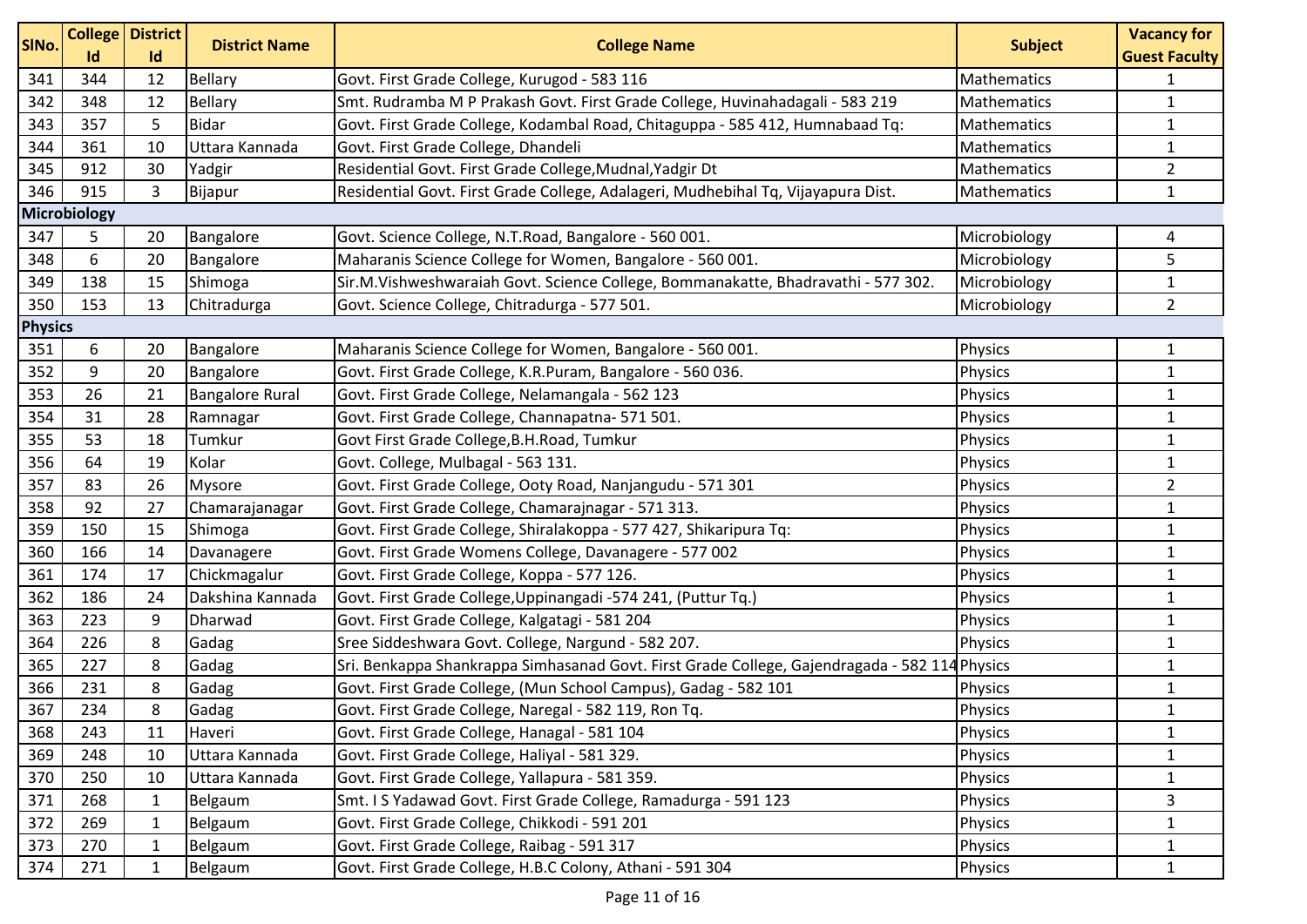| SINo.          | <b>Id</b>    | <b>College District</b><br>Id | <b>District Name</b>   | <b>College Name</b>                                                                           | <b>Subject</b> | <b>Vacancy for</b><br><b>Guest Faculty</b> |  |  |
|----------------|--------------|-------------------------------|------------------------|-----------------------------------------------------------------------------------------------|----------------|--------------------------------------------|--|--|
| 341            | 344          | 12                            | <b>Bellary</b>         | Govt. First Grade College, Kurugod - 583 116                                                  | Mathematics    | 1                                          |  |  |
| 342            | 348          | 12                            | <b>Bellary</b>         | Smt. Rudramba M P Prakash Govt. First Grade College, Huvinahadagali - 583 219                 | Mathematics    | $\mathbf{1}$                               |  |  |
| 343            | 357          | 5                             | <b>Bidar</b>           | Govt. First Grade College, Kodambal Road, Chitaguppa - 585 412, Humnabaad Tq:                 | Mathematics    | 1                                          |  |  |
| 344            | 361          | 10                            | Uttara Kannada         | Govt. First Grade College, Dhandeli                                                           | Mathematics    | $\mathbf{1}$                               |  |  |
| 345            | 912          | 30                            | Yadgir                 | Residential Govt. First Grade College, Mudnal, Yadgir Dt                                      | Mathematics    | $\overline{2}$                             |  |  |
| 346            | 915          | 3                             | Bijapur                | Residential Govt. First Grade College, Adalageri, Mudhebihal Tq, Vijayapura Dist.             | Mathematics    | $\mathbf{1}$                               |  |  |
|                | Microbiology |                               |                        |                                                                                               |                |                                            |  |  |
| 347            | 5            | 20                            | Bangalore              | Govt. Science College, N.T.Road, Bangalore - 560 001.                                         | Microbiology   | 4                                          |  |  |
| 348            | 6            | 20                            | Bangalore              | Maharanis Science College for Women, Bangalore - 560 001.                                     | Microbiology   | 5                                          |  |  |
| 349            | 138          | 15                            | Shimoga                | Sir.M.Vishweshwaraiah Govt. Science College, Bommanakatte, Bhadravathi - 577 302.             | Microbiology   | $\mathbf{1}$                               |  |  |
| 350            | 153          | 13                            | Chitradurga            | Govt. Science College, Chitradurga - 577 501.                                                 | Microbiology   | $\overline{2}$                             |  |  |
| <b>Physics</b> |              |                               |                        |                                                                                               |                |                                            |  |  |
| 351            | 6            | 20                            | Bangalore              | Maharanis Science College for Women, Bangalore - 560 001.                                     | Physics        | 1                                          |  |  |
| 352            | 9            | 20                            | Bangalore              | Govt. First Grade College, K.R.Puram, Bangalore - 560 036.                                    | Physics        | $\mathbf{1}$                               |  |  |
| 353            | 26           | 21                            | <b>Bangalore Rural</b> | Govt. First Grade College, Nelamangala - 562 123                                              | Physics        | $\mathbf{1}$                               |  |  |
| 354            | 31           | 28                            | Ramnagar               | Govt. First Grade College, Channapatna- 571 501.                                              | Physics        | $\mathbf{1}$                               |  |  |
| 355            | 53           | 18                            | Tumkur                 | Govt First Grade College, B.H. Road, Tumkur                                                   | <b>Physics</b> | $\mathbf{1}$                               |  |  |
| 356            | 64           | 19                            | Kolar                  | Govt. College, Mulbagal - 563 131.                                                            | Physics        | $\mathbf{1}$                               |  |  |
| 357            | 83           | 26                            | Mysore                 | Govt. First Grade College, Ooty Road, Nanjangudu - 571 301                                    | Physics        | $\overline{2}$                             |  |  |
| 358            | 92           | 27                            | Chamarajanagar         | Govt. First Grade College, Chamarajnagar - 571 313.                                           | Physics        | $\mathbf{1}$                               |  |  |
| 359            | 150          | 15                            | Shimoga                | Govt. First Grade College, Shiralakoppa - 577 427, Shikaripura Tq:                            | Physics        | $\mathbf{1}$                               |  |  |
| 360            | 166          | 14                            | Davanagere             | Govt. First Grade Womens College, Davanagere - 577 002                                        | Physics        | $\mathbf{1}$                               |  |  |
| 361            | 174          | 17                            | Chickmagalur           | Govt. First Grade College, Koppa - 577 126.                                                   | Physics        | 1                                          |  |  |
| 362            | 186          | 24                            | Dakshina Kannada       | Govt. First Grade College, Uppinangadi -574 241, (Puttur Tq.)                                 | Physics        | $\mathbf{1}$                               |  |  |
| 363            | 223          | 9                             | Dharwad                | Govt. First Grade College, Kalgatagi - 581 204                                                | Physics        | $\mathbf{1}$                               |  |  |
| 364            | 226          | 8                             | Gadag                  | Sree Siddeshwara Govt. College, Nargund - 582 207.                                            | <b>Physics</b> | $\mathbf{1}$                               |  |  |
| 365            | 227          | 8                             | Gadag                  | Sri. Benkappa Shankrappa Simhasanad Govt. First Grade College, Gajendragada - 582 114 Physics |                | $\mathbf{1}$                               |  |  |
| 366            | 231          | 8                             | Gadag                  | Govt. First Grade College, (Mun School Campus), Gadag - 582 101                               | Physics        | $\mathbf{1}$                               |  |  |
| 367            | 234          | 8                             | Gadag                  | Govt. First Grade College, Naregal - 582 119, Ron Tq.                                         | <b>Physics</b> | 1                                          |  |  |
| 368            | 243          | 11                            | Haveri                 | Govt. First Grade College, Hanagal - 581 104                                                  | Physics        | $\mathbf{1}$                               |  |  |
| 369            | 248          | 10                            | Uttara Kannada         | Govt. First Grade College, Haliyal - 581 329.                                                 | Physics        | 1                                          |  |  |
| 370            | 250          | 10                            | Uttara Kannada         | Govt. First Grade College, Yallapura - 581 359.                                               | Physics        | 1                                          |  |  |
| 371            | 268          | $\mathbf{1}$                  | Belgaum                | Smt. I S Yadawad Govt. First Grade College, Ramadurga - 591 123                               | Physics        | 3                                          |  |  |
| 372            | 269          | $\mathbf{1}$                  | Belgaum                | Govt. First Grade College, Chikkodi - 591 201                                                 | Physics        | 1                                          |  |  |
| 373            | 270          | $\mathbf{1}$                  | Belgaum                | Govt. First Grade College, Raibag - 591 317                                                   | Physics        | 1                                          |  |  |
| 374            | 271          | 1                             | Belgaum                | Govt. First Grade College, H.B.C Colony, Athani - 591 304                                     | Physics        | $\mathbf{1}$                               |  |  |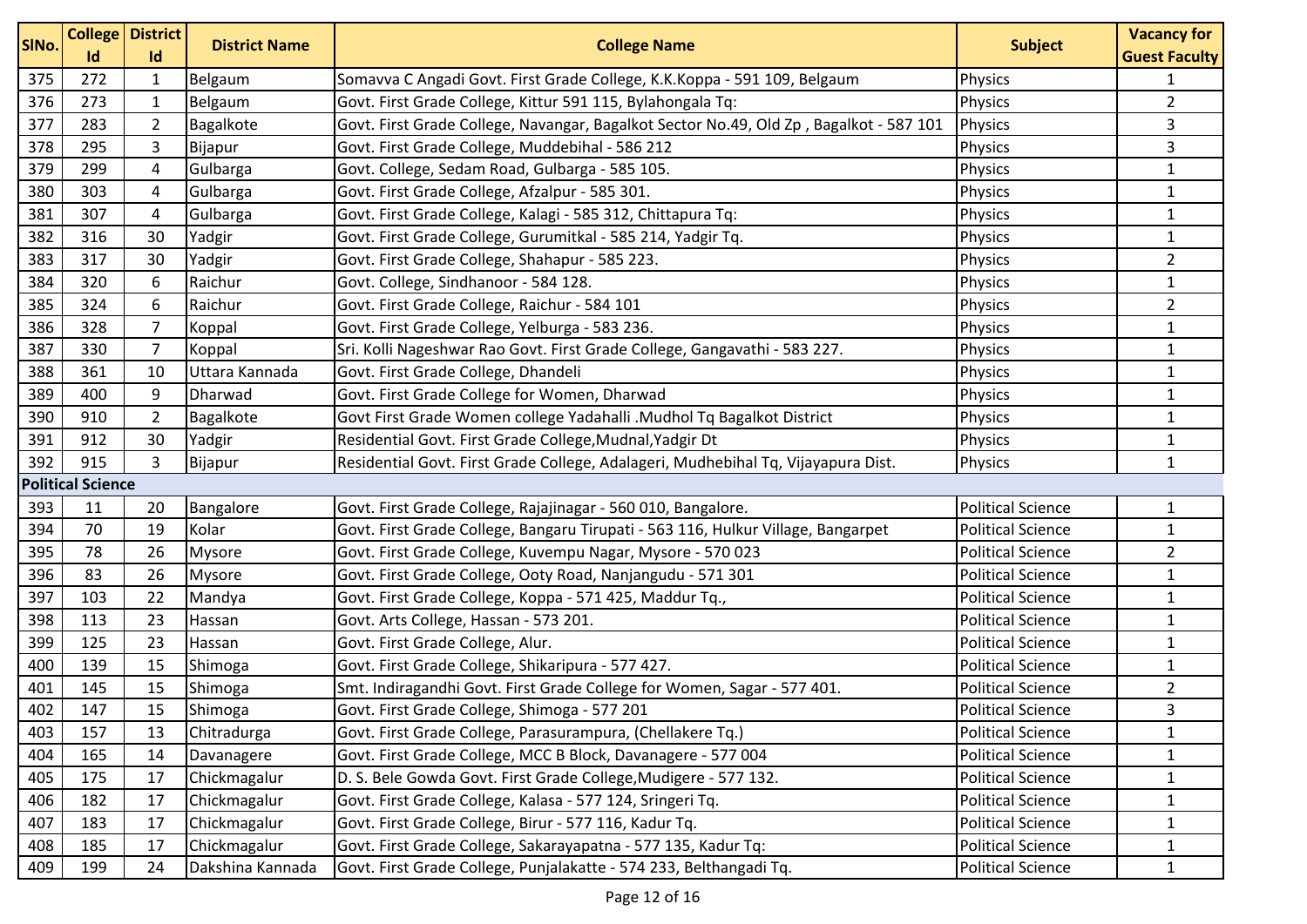| SINo. | Id                       | <b>College   District</b><br>Id | <b>District Name</b> | <b>College Name</b>                                                                    | <b>Subject</b>           | <b>Vacancy for</b><br><b>Guest Faculty</b> |
|-------|--------------------------|---------------------------------|----------------------|----------------------------------------------------------------------------------------|--------------------------|--------------------------------------------|
| 375   | 272                      | $\mathbf{1}$                    | Belgaum              | Somavva C Angadi Govt. First Grade College, K.K.Koppa - 591 109, Belgaum               | Physics                  | $\mathbf 1$                                |
| 376   | 273                      | $\mathbf{1}$                    | Belgaum              | Govt. First Grade College, Kittur 591 115, Bylahongala Tq:                             | Physics                  | $\overline{2}$                             |
| 377   | 283                      | $\overline{2}$                  | Bagalkote            | Govt. First Grade College, Navangar, Bagalkot Sector No.49, Old Zp, Bagalkot - 587 101 | <b>Physics</b>           | 3                                          |
| 378   | 295                      | 3                               | Bijapur              | Govt. First Grade College, Muddebihal - 586 212                                        | <b>Physics</b>           | 3                                          |
| 379   | 299                      | 4                               | Gulbarga             | Govt. College, Sedam Road, Gulbarga - 585 105.                                         | Physics                  | $\mathbf{1}$                               |
| 380   | 303                      | $\overline{4}$                  | Gulbarga             | Govt. First Grade College, Afzalpur - 585 301.                                         | Physics                  | $\mathbf{1}$                               |
| 381   | 307                      | $\overline{a}$                  | Gulbarga             | Govt. First Grade College, Kalagi - 585 312, Chittapura Tq:                            | Physics                  | $\mathbf{1}$                               |
| 382   | 316                      | 30                              | Yadgir               | Govt. First Grade College, Gurumitkal - 585 214, Yadgir Tq.                            | Physics                  | $\mathbf{1}$                               |
| 383   | 317                      | 30                              | Yadgir               | Govt. First Grade College, Shahapur - 585 223.                                         | Physics                  | $\overline{2}$                             |
| 384   | 320                      | 6                               | Raichur              | Govt. College, Sindhanoor - 584 128.                                                   | <b>Physics</b>           | $\mathbf 1$                                |
| 385   | 324                      | 6                               | Raichur              | Govt. First Grade College, Raichur - 584 101                                           | <b>Physics</b>           | $\overline{2}$                             |
| 386   | 328                      | $\overline{7}$                  | Koppal               | Govt. First Grade College, Yelburga - 583 236.                                         | <b>Physics</b>           | $\mathbf{1}$                               |
| 387   | 330                      | $\overline{7}$                  | Koppal               | Sri. Kolli Nageshwar Rao Govt. First Grade College, Gangavathi - 583 227.              | Physics                  | $\mathbf{1}$                               |
| 388   | 361                      | 10                              | Uttara Kannada       | Govt. First Grade College, Dhandeli                                                    | Physics                  | $\mathbf{1}$                               |
| 389   | 400                      | 9                               | Dharwad              | Govt. First Grade College for Women, Dharwad                                           | <b>Physics</b>           | $\mathbf 1$                                |
| 390   | 910                      | $\overline{2}$                  | Bagalkote            | Govt First Grade Women college Yadahalli .Mudhol Tq Bagalkot District                  | Physics                  | $\mathbf{1}$                               |
| 391   | 912                      | 30                              | Yadgir               | Residential Govt. First Grade College, Mudnal, Yadgir Dt                               | <b>Physics</b>           | $\mathbf{1}$                               |
| 392   | 915                      | $\overline{3}$                  | Bijapur              | Residential Govt. First Grade College, Adalageri, Mudhebihal Tq, Vijayapura Dist.      | Physics                  | $\mathbf{1}$                               |
|       | <b>Political Science</b> |                                 |                      |                                                                                        |                          |                                            |
| 393   | 11                       | 20                              | Bangalore            | Govt. First Grade College, Rajajinagar - 560 010, Bangalore.                           | <b>Political Science</b> | $\mathbf{1}$                               |
| 394   | 70                       | 19                              | Kolar                | Govt. First Grade College, Bangaru Tirupati - 563 116, Hulkur Village, Bangarpet       | <b>Political Science</b> | $\mathbf{1}$                               |
| 395   | 78                       | 26                              | <b>Mysore</b>        | Govt. First Grade College, Kuvempu Nagar, Mysore - 570 023                             | <b>Political Science</b> | $\overline{2}$                             |
| 396   | 83                       | 26                              | <b>Mysore</b>        | Govt. First Grade College, Ooty Road, Nanjangudu - 571 301                             | <b>Political Science</b> | $\mathbf{1}$                               |
| 397   | 103                      | 22                              | Mandya               | Govt. First Grade College, Koppa - 571 425, Maddur Tq.,                                | <b>Political Science</b> | $\mathbf{1}$                               |
| 398   | 113                      | 23                              | Hassan               | Govt. Arts College, Hassan - 573 201.                                                  | <b>Political Science</b> | $\mathbf{1}$                               |
| 399   | 125                      | 23                              | Hassan               | Govt. First Grade College, Alur.                                                       | <b>Political Science</b> | $\mathbf{1}$                               |
| 400   | 139                      | 15                              | Shimoga              | Govt. First Grade College, Shikaripura - 577 427.                                      | <b>Political Science</b> | $\mathbf{1}$                               |
| 401   | 145                      | 15                              | Shimoga              | Smt. Indiragandhi Govt. First Grade College for Women, Sagar - 577 401.                | <b>Political Science</b> | $\overline{2}$                             |
| 402   | 147                      | 15                              | Shimoga              | Govt. First Grade College, Shimoga - 577 201                                           | <b>Political Science</b> | 3                                          |
| 403   | 157                      | 13                              | Chitradurga          | Govt. First Grade College, Parasurampura, (Chellakere Tq.)                             | <b>Political Science</b> | $\mathbf{1}$                               |
| 404   | 165                      | 14                              | Davanagere           | Govt. First Grade College, MCC B Block, Davanagere - 577 004                           | <b>Political Science</b> | 1                                          |
| 405   | 175                      | 17                              | Chickmagalur         | D. S. Bele Gowda Govt. First Grade College, Mudigere - 577 132.                        | <b>Political Science</b> | $\mathbf{1}$                               |
| 406   | 182                      | 17                              | Chickmagalur         | Govt. First Grade College, Kalasa - 577 124, Sringeri Tq.                              | <b>Political Science</b> | $\mathbf{1}$                               |
| 407   | 183                      | 17                              | Chickmagalur         | Govt. First Grade College, Birur - 577 116, Kadur Tq.                                  | <b>Political Science</b> | 1                                          |
| 408   | 185                      | 17                              | Chickmagalur         | Govt. First Grade College, Sakarayapatna - 577 135, Kadur Tq:                          | <b>Political Science</b> | $\mathbf{1}$                               |
| 409   | 199                      | 24                              | Dakshina Kannada     | Govt. First Grade College, Punjalakatte - 574 233, Belthangadi Tq.                     | <b>Political Science</b> | 1                                          |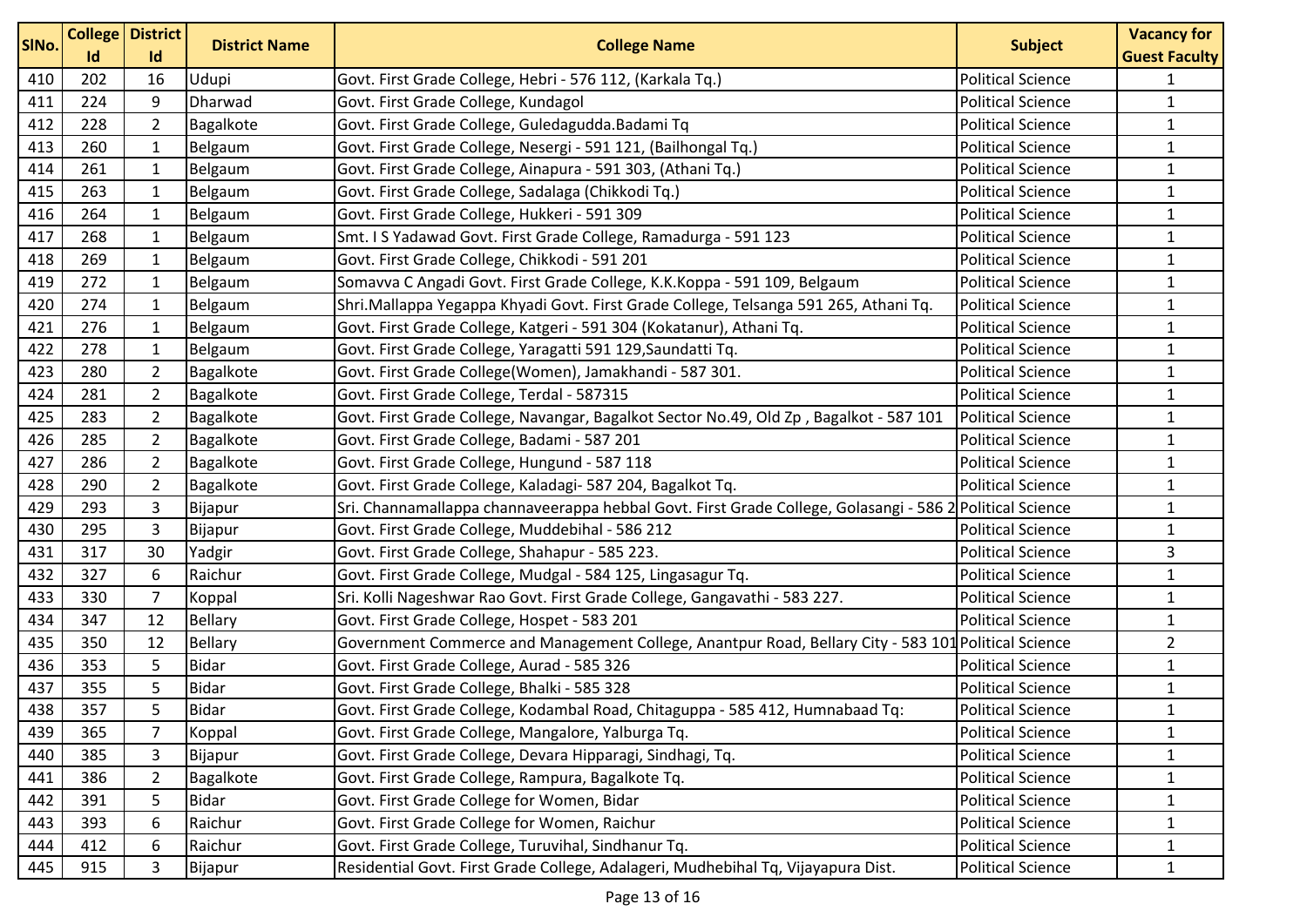| SINo. |          | <b>College District</b> | <b>District Name</b> | <b>College Name</b>                                                                                      | <b>Subject</b>           | <b>Vacancy for</b>   |
|-------|----------|-------------------------|----------------------|----------------------------------------------------------------------------------------------------------|--------------------------|----------------------|
|       | Id<br>Id |                         |                      |                                                                                                          |                          | <b>Guest Faculty</b> |
| 410   | 202      | 16                      | Udupi                | Govt. First Grade College, Hebri - 576 112, (Karkala Tq.)                                                | <b>Political Science</b> | $\mathbf{1}$         |
| 411   | 224      | 9                       | Dharwad              | Govt. First Grade College, Kundagol                                                                      | <b>Political Science</b> | $\mathbf{1}$         |
| 412   | 228      | $\overline{2}$          | Bagalkote            | Govt. First Grade College, Guledagudda.Badami Tq                                                         | <b>Political Science</b> | $\mathbf{1}$         |
| 413   | 260      | $\mathbf{1}$            | Belgaum              | Govt. First Grade College, Nesergi - 591 121, (Bailhongal Tq.)                                           | <b>Political Science</b> | $\mathbf{1}$         |
| 414   | 261      | $\mathbf{1}$            | Belgaum              | Govt. First Grade College, Ainapura - 591 303, (Athani Tq.)                                              | <b>Political Science</b> | $\mathbf 1$          |
| 415   | 263      | $\mathbf{1}$            | Belgaum              | Govt. First Grade College, Sadalaga (Chikkodi Tq.)                                                       | <b>Political Science</b> | $\mathbf{1}$         |
| 416   | 264      | $\mathbf{1}$            | Belgaum              | Govt. First Grade College, Hukkeri - 591 309                                                             | <b>Political Science</b> | $\mathbf{1}$         |
| 417   | 268      | $\mathbf{1}$            | Belgaum              | Smt. I S Yadawad Govt. First Grade College, Ramadurga - 591 123                                          | <b>Political Science</b> | $\mathbf{1}$         |
| 418   | 269      | $\mathbf{1}$            | Belgaum              | Govt. First Grade College, Chikkodi - 591 201                                                            | <b>Political Science</b> | $\mathbf{1}$         |
| 419   | 272      | $\mathbf{1}$            | Belgaum              | Somavva C Angadi Govt. First Grade College, K.K.Koppa - 591 109, Belgaum                                 | <b>Political Science</b> | $\mathbf 1$          |
| 420   | 274      | $\mathbf{1}$            | Belgaum              | Shri.Mallappa Yegappa Khyadi Govt. First Grade College, Telsanga 591 265, Athani Tq.                     | <b>Political Science</b> | $\mathbf{1}$         |
| 421   | 276      | $\mathbf{1}$            | Belgaum              | Govt. First Grade College, Katgeri - 591 304 (Kokatanur), Athani Tq.                                     | <b>Political Science</b> | $\mathbf{1}$         |
| 422   | 278      | $\mathbf{1}$            | Belgaum              | Govt. First Grade College, Yaragatti 591 129, Saundatti Tq.                                              | <b>Political Science</b> | $\mathbf{1}$         |
| 423   | 280      | $\overline{2}$          | Bagalkote            | Govt. First Grade College(Women), Jamakhandi - 587 301.                                                  | <b>Political Science</b> | $\mathbf{1}$         |
| 424   | 281      | $\overline{2}$          | Bagalkote            | Govt. First Grade College, Terdal - 587315                                                               | <b>Political Science</b> | $\mathbf{1}$         |
| 425   | 283      | $\overline{2}$          | Bagalkote            | Govt. First Grade College, Navangar, Bagalkot Sector No.49, Old Zp, Bagalkot - 587 101                   | <b>Political Science</b> | $\mathbf{1}$         |
| 426   | 285      | $\overline{2}$          | Bagalkote            | Govt. First Grade College, Badami - 587 201                                                              | <b>Political Science</b> | $\mathbf{1}$         |
| 427   | 286      | $\overline{2}$          | Bagalkote            | Govt. First Grade College, Hungund - 587 118                                                             | <b>Political Science</b> | $\mathbf{1}$         |
| 428   | 290      | $\overline{2}$          | Bagalkote            | Govt. First Grade College, Kaladagi- 587 204, Bagalkot Tq.                                               | <b>Political Science</b> | $\mathbf{1}$         |
| 429   | 293      | 3                       | Bijapur              | Sri. Channamallappa channaveerappa hebbal Govt. First Grade College, Golasangi - 586 2 Political Science |                          | $\mathbf{1}$         |
| 430   | 295      | 3                       | Bijapur              | Govt. First Grade College, Muddebihal - 586 212                                                          | <b>Political Science</b> | $\mathbf{1}$         |
| 431   | 317      | 30                      | Yadgir               | Govt. First Grade College, Shahapur - 585 223.                                                           | <b>Political Science</b> | 3                    |
| 432   | 327      | 6                       | Raichur              | Govt. First Grade College, Mudgal - 584 125, Lingasagur Tq.                                              | <b>Political Science</b> | $\mathbf{1}$         |
| 433   | 330      | $\overline{7}$          | Koppal               | Sri. Kolli Nageshwar Rao Govt. First Grade College, Gangavathi - 583 227.                                | <b>Political Science</b> | $\mathbf 1$          |
| 434   | 347      | 12                      | <b>Bellary</b>       | Govt. First Grade College, Hospet - 583 201                                                              | <b>Political Science</b> | $\mathbf{1}$         |
| 435   | 350      | 12                      | Bellary              | Government Commerce and Management College, Anantpur Road, Bellary City - 583 101 Political Science      |                          | $\overline{2}$       |
| 436   | 353      | 5                       | Bidar                | Govt. First Grade College, Aurad - 585 326                                                               | <b>Political Science</b> | $\mathbf{1}$         |
| 437   | 355      | 5                       | <b>Bidar</b>         | Govt. First Grade College, Bhalki - 585 328                                                              | <b>Political Science</b> | $\mathbf{1}$         |
| 438   | 357      | 5                       | <b>Bidar</b>         | Govt. First Grade College, Kodambal Road, Chitaguppa - 585 412, Humnabaad Tq:                            | <b>Political Science</b> | $\mathbf{1}$         |
| 439   | 365      | $\overline{7}$          | Koppal               | Govt. First Grade College, Mangalore, Yalburga Tq.                                                       | <b>Political Science</b> | $\mathbf{1}$         |
| 440   | 385      | 3                       | Bijapur              | Govt. First Grade College, Devara Hipparagi, Sindhagi, Tq.                                               | <b>Political Science</b> | $\mathbf{1}$         |
| 441   | 386      | $\overline{2}$          | Bagalkote            | Govt. First Grade College, Rampura, Bagalkote Tq.                                                        | <b>Political Science</b> | $\mathbf{1}$         |
| 442   | 391      | 5                       | <b>Bidar</b>         | Govt. First Grade College for Women, Bidar                                                               | <b>Political Science</b> | $\mathbf{1}$         |
| 443   | 393      | 6                       | Raichur              | Govt. First Grade College for Women, Raichur                                                             | <b>Political Science</b> | 1                    |
| 444   | 412      | 6                       | Raichur              | Govt. First Grade College, Turuvihal, Sindhanur Tq.                                                      | <b>Political Science</b> | $\mathbf{1}$         |
| 445   | 915      | 3                       | Bijapur              | Residential Govt. First Grade College, Adalageri, Mudhebihal Tq, Vijayapura Dist.                        | <b>Political Science</b> | $\mathbf{1}$         |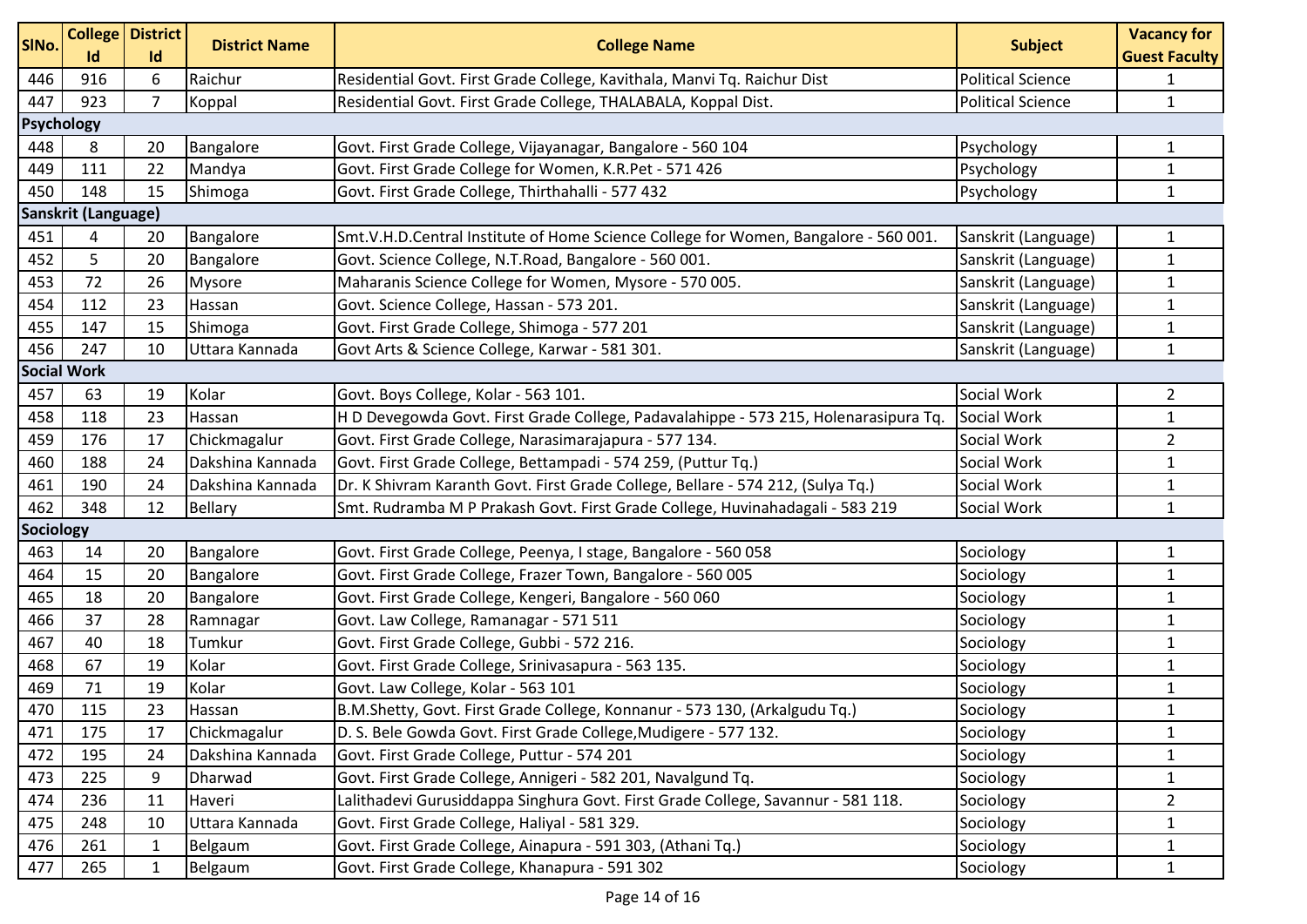| SINo.     | <b>College District</b><br>Id | Id             | <b>District Name</b> | <b>College Name</b>                                                                  | <b>Subject</b>           | <b>Vacancy for</b><br><b>Guest Faculty</b> |  |  |  |  |
|-----------|-------------------------------|----------------|----------------------|--------------------------------------------------------------------------------------|--------------------------|--------------------------------------------|--|--|--|--|
| 446       | 916                           | 6              | Raichur              | Residential Govt. First Grade College, Kavithala, Manvi Tq. Raichur Dist             | <b>Political Science</b> | 1                                          |  |  |  |  |
| 447       | 923                           | $\overline{7}$ | Koppal               | Residential Govt. First Grade College, THALABALA, Koppal Dist.                       | <b>Political Science</b> | $\mathbf{1}$                               |  |  |  |  |
|           | <b>Psychology</b>             |                |                      |                                                                                      |                          |                                            |  |  |  |  |
| 448       | 8                             | 20             | Bangalore            | Govt. First Grade College, Vijayanagar, Bangalore - 560 104                          | Psychology               | 1                                          |  |  |  |  |
| 449       | 111                           | 22             | Mandya               | Govt. First Grade College for Women, K.R.Pet - 571 426                               | Psychology               | $\mathbf{1}$                               |  |  |  |  |
| 450       | 148                           | 15             | Shimoga              | Govt. First Grade College, Thirthahalli - 577 432                                    | Psychology               | $\mathbf{1}$                               |  |  |  |  |
|           | Sanskrit (Language)           |                |                      |                                                                                      |                          |                                            |  |  |  |  |
| 451       | 4                             | 20             | Bangalore            | Smt.V.H.D.Central Institute of Home Science College for Women, Bangalore - 560 001.  | Sanskrit (Language)      | 1                                          |  |  |  |  |
| 452       | 5                             | 20             | Bangalore            | Govt. Science College, N.T.Road, Bangalore - 560 001.                                | Sanskrit (Language)      | $\mathbf{1}$                               |  |  |  |  |
| 453       | 72                            | 26             | <b>Mysore</b>        | Maharanis Science College for Women, Mysore - 570 005.                               | Sanskrit (Language)      | $\mathbf{1}$                               |  |  |  |  |
| 454       | 112                           | 23             | Hassan               | Govt. Science College, Hassan - 573 201.                                             | Sanskrit (Language)      | $\mathbf{1}$                               |  |  |  |  |
| 455       | 147                           | 15             | Shimoga              | Govt. First Grade College, Shimoga - 577 201                                         | Sanskrit (Language)      | 1                                          |  |  |  |  |
| 456       | 247                           | 10             | Uttara Kannada       | Govt Arts & Science College, Karwar - 581 301.                                       | Sanskrit (Language)      | $\mathbf{1}$                               |  |  |  |  |
|           | <b>Social Work</b>            |                |                      |                                                                                      |                          |                                            |  |  |  |  |
| 457       | 63                            | 19             | Kolar                | Govt. Boys College, Kolar - 563 101.                                                 | Social Work              | $\overline{2}$                             |  |  |  |  |
| 458       | 118                           | 23             | Hassan               | H D Devegowda Govt. First Grade College, Padavalahippe - 573 215, Holenarasipura Tq. | Social Work              | $\mathbf{1}$                               |  |  |  |  |
| 459       | 176                           | 17             | Chickmagalur         | Govt. First Grade College, Narasimarajapura - 577 134.                               | Social Work              | $\overline{2}$                             |  |  |  |  |
| 460       | 188                           | 24             | Dakshina Kannada     | Govt. First Grade College, Bettampadi - 574 259, (Puttur Tq.)                        | Social Work              | $\mathbf{1}$                               |  |  |  |  |
| 461       | 190                           | 24             | Dakshina Kannada     | Dr. K Shivram Karanth Govt. First Grade College, Bellare - 574 212, (Sulya Tq.)      | Social Work              | $\mathbf{1}$                               |  |  |  |  |
| 462       | 348                           | 12             | <b>Bellary</b>       | Smt. Rudramba M P Prakash Govt. First Grade College, Huvinahadagali - 583 219        | Social Work              | $\mathbf{1}$                               |  |  |  |  |
| Sociology |                               |                |                      |                                                                                      |                          |                                            |  |  |  |  |
| 463       | 14                            | 20             | Bangalore            | Govt. First Grade College, Peenya, I stage, Bangalore - 560 058                      | Sociology                | 1                                          |  |  |  |  |
| 464       | 15                            | 20             | Bangalore            | Govt. First Grade College, Frazer Town, Bangalore - 560 005                          | Sociology                | $\mathbf{1}$                               |  |  |  |  |
| 465       | 18                            | 20             | Bangalore            | Govt. First Grade College, Kengeri, Bangalore - 560 060                              | Sociology                | $\mathbf{1}$                               |  |  |  |  |
| 466       | 37                            | 28             | Ramnagar             | Govt. Law College, Ramanagar - 571 511                                               | Sociology                | 1                                          |  |  |  |  |
| 467       | 40                            | 18             | Tumkur               | Govt. First Grade College, Gubbi - 572 216.                                          | Sociology                | $\mathbf{1}$                               |  |  |  |  |
| 468       | 67                            | 19             | Kolar                | Govt. First Grade College, Srinivasapura - 563 135.                                  | Sociology                | $\mathbf{1}$                               |  |  |  |  |
| 469       | 71                            | 19             | Kolar                | Govt. Law College, Kolar - 563 101                                                   | Sociology                | $\mathbf{1}$                               |  |  |  |  |
| 470       | 115                           | 23             | Hassan               | B.M.Shetty, Govt. First Grade College, Konnanur - 573 130, (Arkalgudu Tq.)           | Sociology                | $\mathbf{1}$                               |  |  |  |  |
| 471       | 175                           | 17             | Chickmagalur         | D. S. Bele Gowda Govt. First Grade College, Mudigere - 577 132.                      | Sociology                | $\mathbf{1}$                               |  |  |  |  |
| 472       | 195                           | 24             | Dakshina Kannada     | Govt. First Grade College, Puttur - 574 201                                          | Sociology                | 1                                          |  |  |  |  |
| 473       | 225                           | 9              | Dharwad              | Govt. First Grade College, Annigeri - 582 201, Navalgund Tq.                         | Sociology                | $\mathbf{1}$                               |  |  |  |  |
| 474       | 236                           | 11             | Haveri               | Lalithadevi Gurusiddappa Singhura Govt. First Grade College, Savannur - 581 118.     | Sociology                | $\overline{a}$                             |  |  |  |  |
| 475       | 248                           | 10             | Uttara Kannada       | Govt. First Grade College, Haliyal - 581 329.                                        | Sociology                | 1                                          |  |  |  |  |
| 476       | 261                           | 1              | Belgaum              | Govt. First Grade College, Ainapura - 591 303, (Athani Tq.)                          | Sociology                | $\mathbf{1}$                               |  |  |  |  |
| 477       | 265                           | $\mathbf{1}$   | Belgaum              | Govt. First Grade College, Khanapura - 591 302                                       | Sociology                | $\mathbf{1}$                               |  |  |  |  |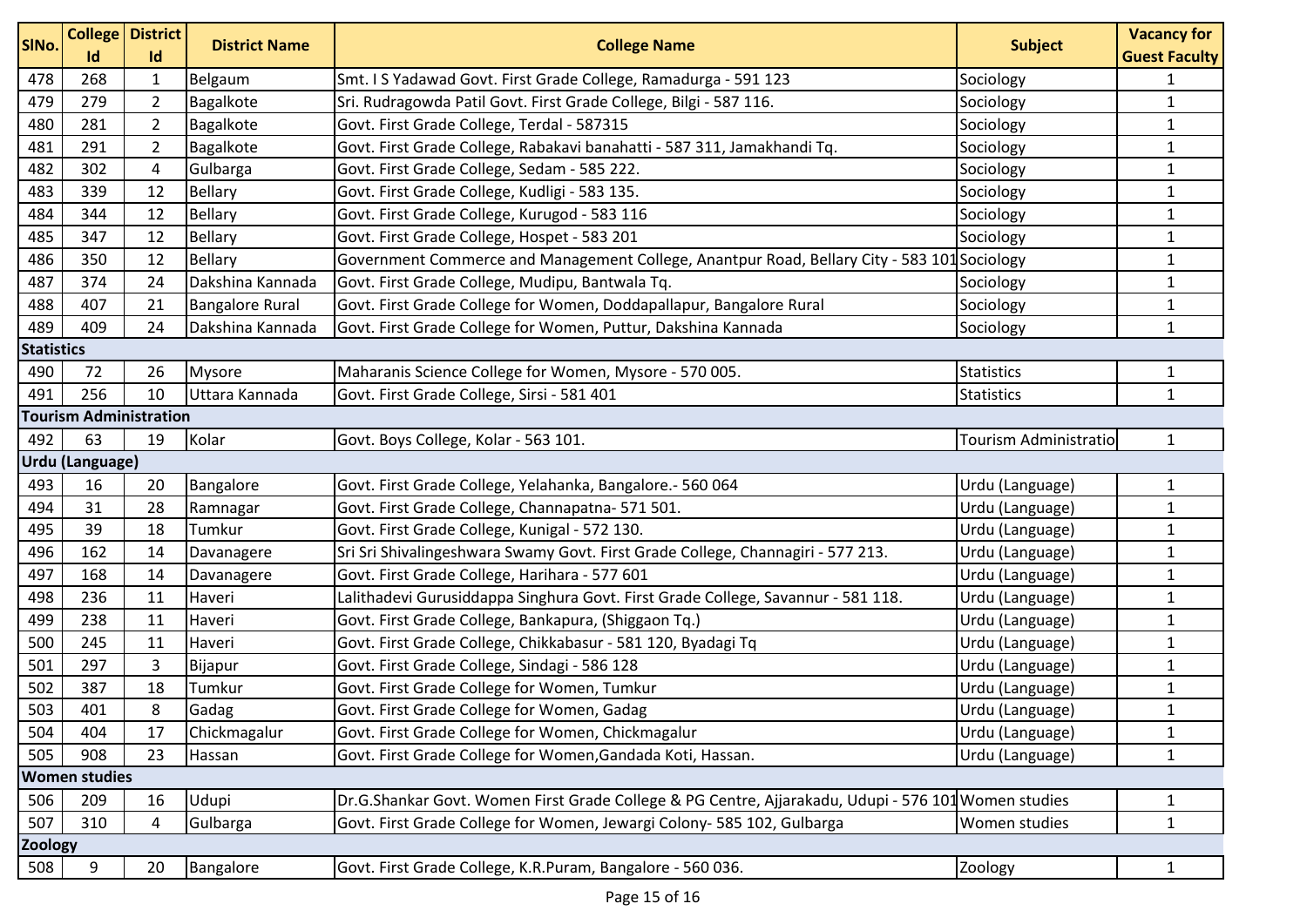| SINo.             |                        | <b>College District</b>       | <b>District Name</b>   | <b>College Name</b>                                                                                 | <b>Subject</b>        | <b>Vacancy for</b>                   |  |
|-------------------|------------------------|-------------------------------|------------------------|-----------------------------------------------------------------------------------------------------|-----------------------|--------------------------------------|--|
| 478               | Id<br>268              | Id<br>$\mathbf{1}$            | Belgaum                | Smt. I S Yadawad Govt. First Grade College, Ramadurga - 591 123                                     | Sociology             | <b>Guest Faculty</b><br>$\mathbf{1}$ |  |
| 479               | 279                    | $\overline{2}$                | Bagalkote              | Sri. Rudragowda Patil Govt. First Grade College, Bilgi - 587 116.                                   | Sociology             | $\mathbf{1}$                         |  |
| 480               | 281                    | $\overline{2}$                | Bagalkote              | Govt. First Grade College, Terdal - 587315                                                          | Sociology             | 1                                    |  |
| 481               | 291                    | $\overline{2}$                | Bagalkote              | Govt. First Grade College, Rabakavi banahatti - 587 311, Jamakhandi Tq.                             | Sociology             | $\mathbf{1}$                         |  |
| 482               | 302                    | 4                             | Gulbarga               | Govt. First Grade College, Sedam - 585 222.                                                         | Sociology             | $\mathbf{1}$                         |  |
| 483               | 339                    | 12                            | Bellary                | Govt. First Grade College, Kudligi - 583 135.                                                       | Sociology             | $\mathbf{1}$                         |  |
| 484               | 344                    | 12                            | <b>Bellary</b>         | Govt. First Grade College, Kurugod - 583 116                                                        | Sociology             | $\mathbf{1}$                         |  |
| 485               | 347                    | 12                            | <b>Bellary</b>         | Govt. First Grade College, Hospet - 583 201                                                         | Sociology             | 1                                    |  |
| 486               | 350                    | 12                            | <b>Bellary</b>         | Government Commerce and Management College, Anantpur Road, Bellary City - 583 101 Sociology         |                       | $\mathbf{1}$                         |  |
| 487               | 374                    | 24                            | Dakshina Kannada       | Govt. First Grade College, Mudipu, Bantwala Tq.                                                     | Sociology             | $\mathbf{1}$                         |  |
| 488               | 407                    | 21                            | <b>Bangalore Rural</b> | Govt. First Grade College for Women, Doddapallapur, Bangalore Rural                                 | Sociology             | 1                                    |  |
| 489               | 409                    | 24                            | Dakshina Kannada       | Govt. First Grade College for Women, Puttur, Dakshina Kannada                                       | Sociology             | $\mathbf{1}$                         |  |
| <b>Statistics</b> |                        |                               |                        |                                                                                                     |                       |                                      |  |
| 490               | 72                     | 26                            | Mysore                 | Maharanis Science College for Women, Mysore - 570 005.                                              | Statistics            | $\mathbf{1}$                         |  |
| 491               | 256                    | 10                            | Uttara Kannada         | Govt. First Grade College, Sirsi - 581 401                                                          | <b>Statistics</b>     | $\mathbf{1}$                         |  |
|                   |                        | <b>Tourism Administration</b> |                        |                                                                                                     |                       |                                      |  |
| 492               | 63                     | 19                            | Kolar                  | Govt. Boys College, Kolar - 563 101.                                                                | Tourism Administratio | $\mathbf{1}$                         |  |
|                   | <b>Urdu (Language)</b> |                               |                        |                                                                                                     |                       |                                      |  |
| 493               | 16                     | 20                            | Bangalore              | Govt. First Grade College, Yelahanka, Bangalore.- 560 064                                           | Urdu (Language)       | 1                                    |  |
| 494               | 31                     | 28                            | Ramnagar               | Govt. First Grade College, Channapatna- 571 501.                                                    | Urdu (Language)       | $\mathbf{1}$                         |  |
| 495               | 39                     | 18                            | Tumkur                 | Govt. First Grade College, Kunigal - 572 130.                                                       | Urdu (Language)       | $\mathbf{1}$                         |  |
| 496               | 162                    | 14                            | Davanagere             | Sri Sri Shivalingeshwara Swamy Govt. First Grade College, Channagiri - 577 213.                     | Urdu (Language)       | 1                                    |  |
| 497               | 168                    | 14                            | Davanagere             | Govt. First Grade College, Harihara - 577 601                                                       | Urdu (Language)       | $\mathbf{1}$                         |  |
| 498               | 236                    | 11                            | Haveri                 | Lalithadevi Gurusiddappa Singhura Govt. First Grade College, Savannur - 581 118.                    | Urdu (Language)       | $\mathbf{1}$                         |  |
| 499               | 238                    | 11                            | Haveri                 | Govt. First Grade College, Bankapura, (Shiggaon Tq.)                                                | Urdu (Language)       | $\mathbf{1}$                         |  |
| 500               | 245                    | 11                            | Haveri                 | Govt. First Grade College, Chikkabasur - 581 120, Byadagi Tq                                        | Urdu (Language)       | $\mathbf{1}$                         |  |
| 501               | 297                    | 3                             | Bijapur                | Govt. First Grade College, Sindagi - 586 128                                                        | Urdu (Language)       | $\mathbf{1}$                         |  |
| 502               | 387                    | 18                            | Tumkur                 | Govt. First Grade College for Women, Tumkur                                                         | Urdu (Language)       | $\mathbf{1}$                         |  |
| 503               | 401                    | 8                             | Gadag                  | Govt. First Grade College for Women, Gadag                                                          | Urdu (Language)       | 1                                    |  |
| 504               | 404                    | 17                            | Chickmagalur           | Govt. First Grade College for Women, Chickmagalur                                                   | Urdu (Language)       | 1                                    |  |
| 505               | 908                    | 23                            | Hassan                 | Govt. First Grade College for Women, Gandada Koti, Hassan.                                          | Urdu (Language)       | $\mathbf{1}$                         |  |
|                   | <b>Women studies</b>   |                               |                        |                                                                                                     |                       |                                      |  |
| 506               | 209                    | 16                            | Udupi                  | Dr.G.Shankar Govt. Women First Grade College & PG Centre, Ajjarakadu, Udupi - 576 101 Women studies |                       | $\mathbf{1}$                         |  |
| 507               | 310                    | 4                             | Gulbarga               | Govt. First Grade College for Women, Jewargi Colony- 585 102, Gulbarga                              | Women studies         | $\mathbf{1}$                         |  |
| <b>Zoology</b>    |                        |                               |                        |                                                                                                     |                       |                                      |  |
| 508               | 9                      | 20                            | Bangalore              | Govt. First Grade College, K.R.Puram, Bangalore - 560 036.                                          | Zoology               | $\mathbf{1}$                         |  |